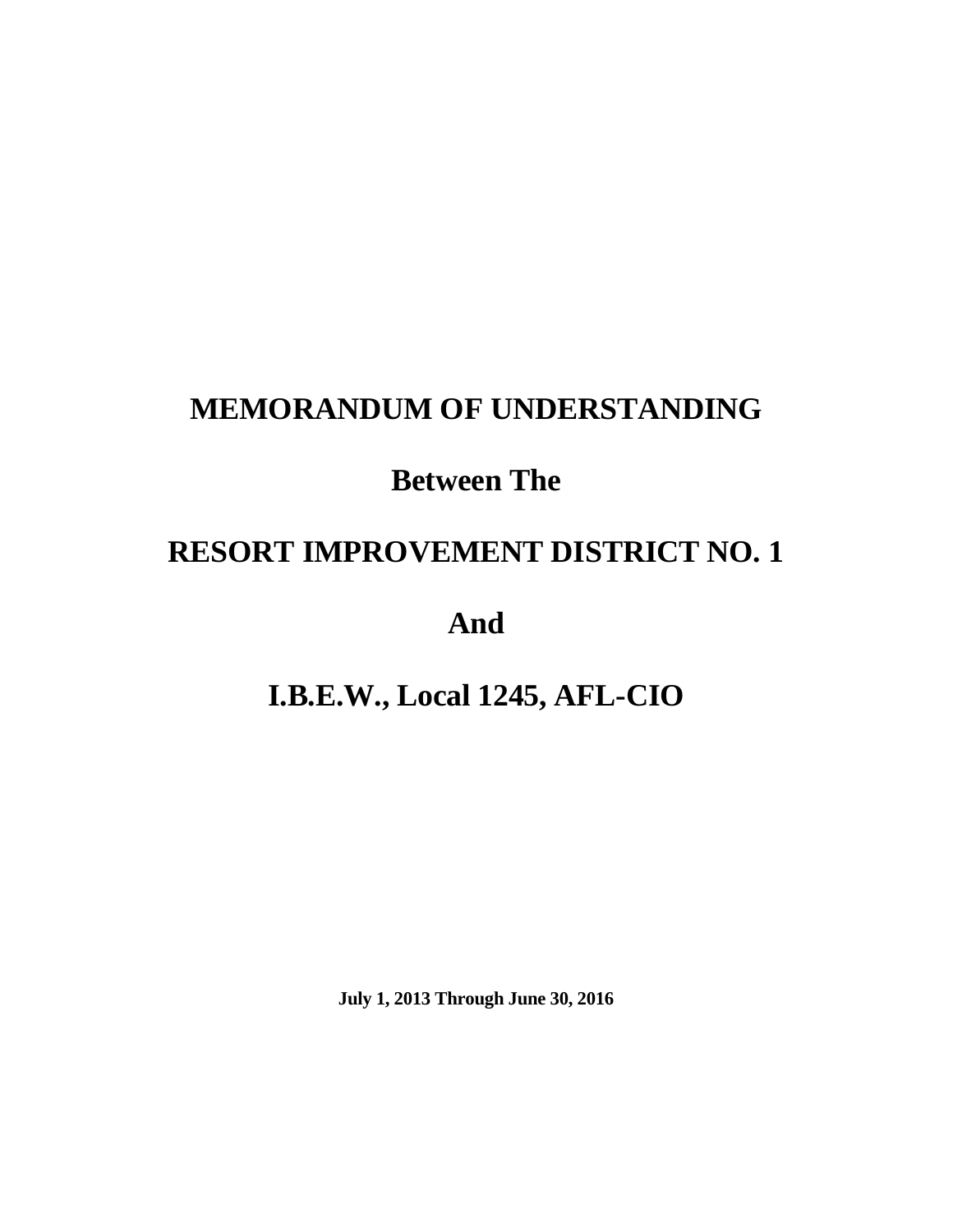# **MEMORANDUM OF UNDERSTANDING**

# **Between The**

# **RESORT IMPROVEMENT DISTRICT NO. 1**

**And** 

# **I.B.E.W., Local 1245, AFL-CIO**

**July 1, 2013 Through June 30, 2016**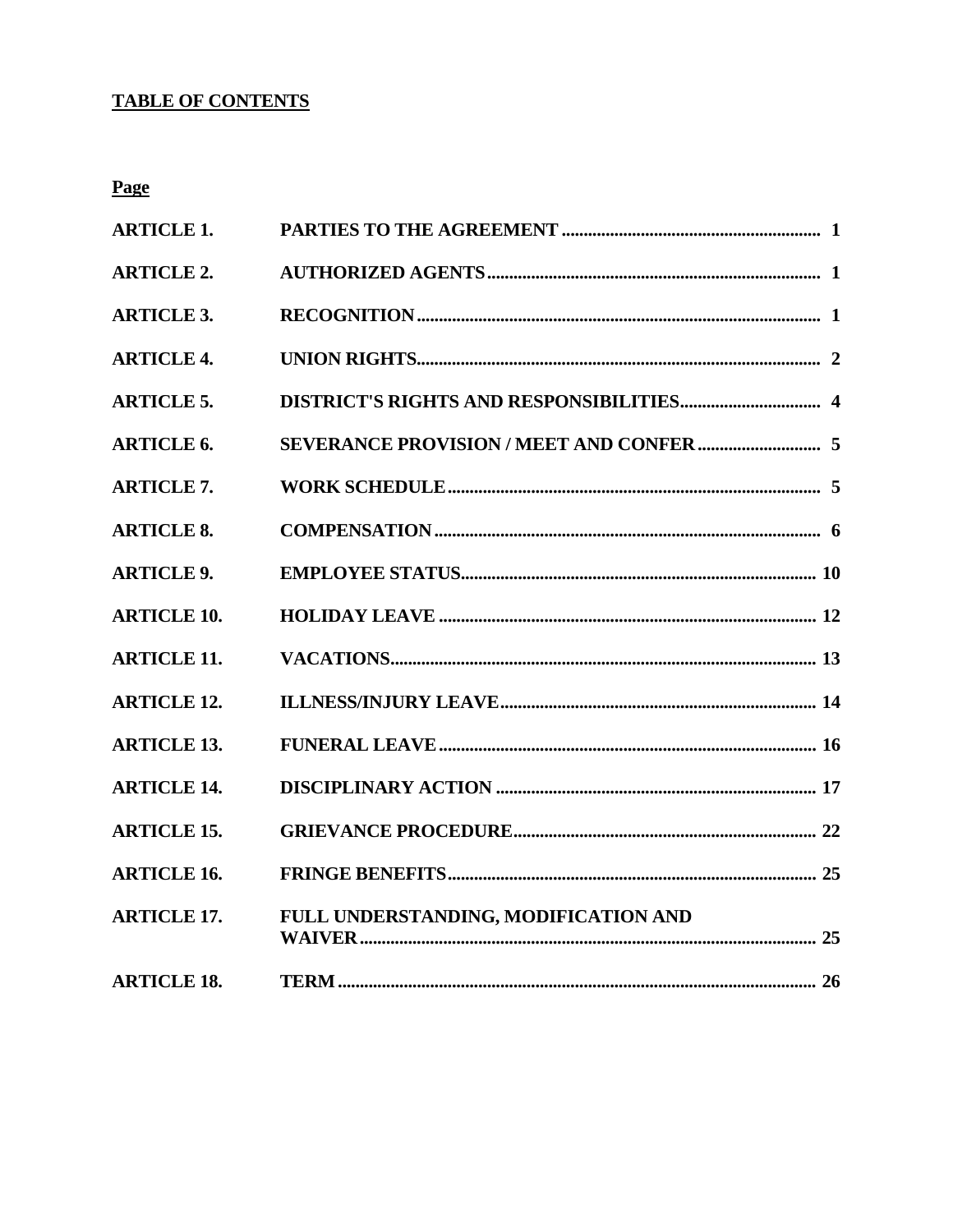#### **TABLE OF CONTENTS**

**Page** 

| <b>ARTICLE 1.</b>  |                                      |  |
|--------------------|--------------------------------------|--|
| <b>ARTICLE 2.</b>  |                                      |  |
| <b>ARTICLE 3.</b>  |                                      |  |
| <b>ARTICLE 4.</b>  |                                      |  |
| <b>ARTICLE 5.</b>  |                                      |  |
| <b>ARTICLE 6.</b>  |                                      |  |
| <b>ARTICLE 7.</b>  |                                      |  |
| <b>ARTICLE 8.</b>  |                                      |  |
| <b>ARTICLE 9.</b>  |                                      |  |
| <b>ARTICLE 10.</b> |                                      |  |
| <b>ARTICLE 11.</b> |                                      |  |
| <b>ARTICLE 12.</b> |                                      |  |
| <b>ARTICLE 13.</b> |                                      |  |
| <b>ARTICLE 14.</b> |                                      |  |
| <b>ARTICLE 15.</b> |                                      |  |
| <b>ARTICLE 16.</b> |                                      |  |
| <b>ARTICLE 17.</b> | FULL UNDERSTANDING, MODIFICATION AND |  |
| <b>ARTICLE 18.</b> |                                      |  |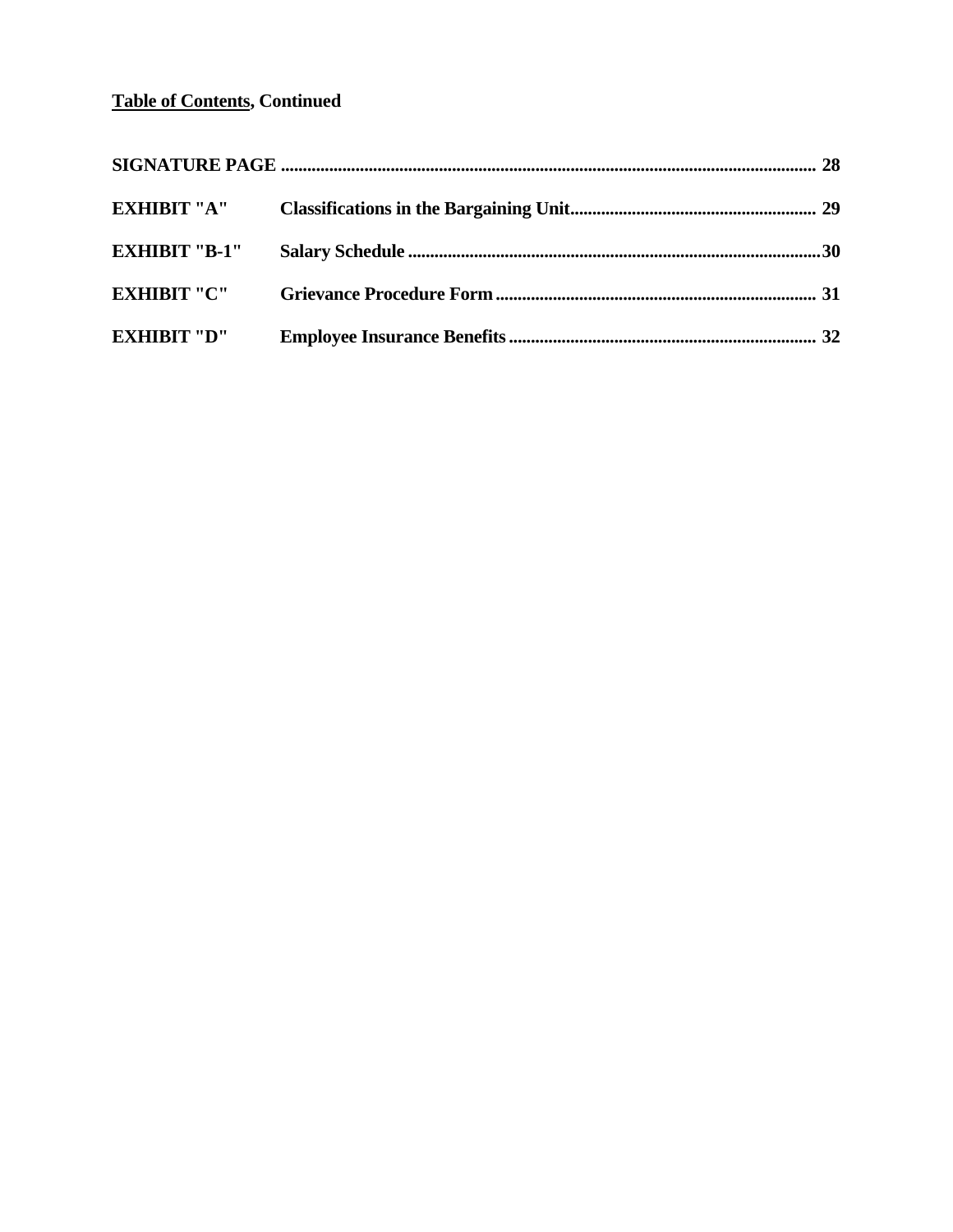#### **Table of Contents, Continued**

| <b>EXHIBIT "A"</b>   |  |
|----------------------|--|
| <b>EXHIBIT "B-1"</b> |  |
| <b>EXHIBIT "C"</b>   |  |
| <b>EXHIBIT "D"</b>   |  |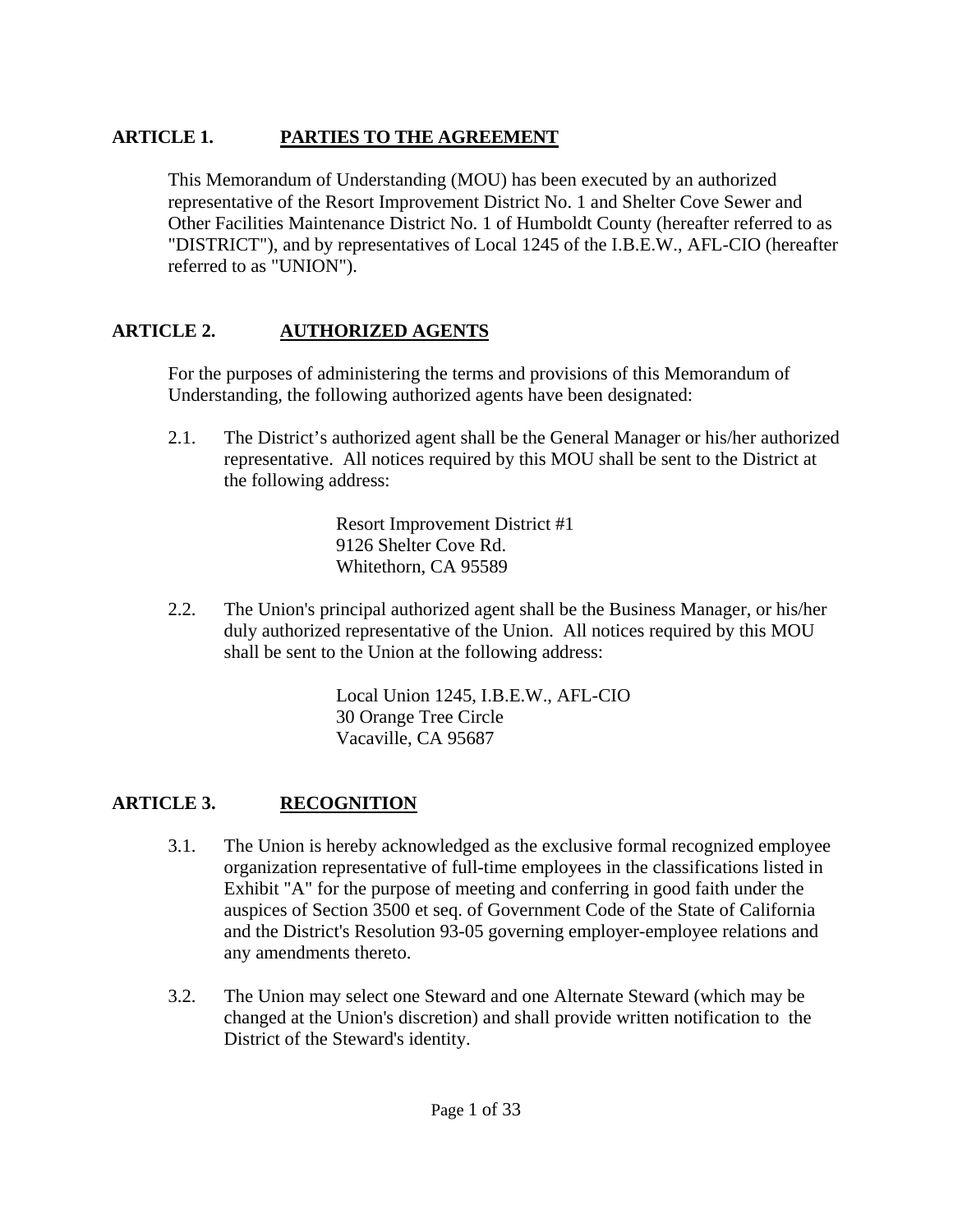# **ARTICLE 1. PARTIES TO THE AGREEMENT**

 This Memorandum of Understanding (MOU) has been executed by an authorized representative of the Resort Improvement District No. 1 and Shelter Cove Sewer and Other Facilities Maintenance District No. 1 of Humboldt County (hereafter referred to as "DISTRICT"), and by representatives of Local 1245 of the I.B.E.W., AFL-CIO (hereafter referred to as "UNION").

# **ARTICLE 2. AUTHORIZED AGENTS**

 For the purposes of administering the terms and provisions of this Memorandum of Understanding, the following authorized agents have been designated:

 2.1. The District's authorized agent shall be the General Manager or his/her authorized representative. All notices required by this MOU shall be sent to the District at the following address:

> Resort Improvement District #1 9126 Shelter Cove Rd. Whitethorn, CA 95589

 2.2. The Union's principal authorized agent shall be the Business Manager, or his/her duly authorized representative of the Union. All notices required by this MOU shall be sent to the Union at the following address:

> Local Union 1245, I.B.E.W., AFL-CIO 30 Orange Tree Circle Vacaville, CA 95687

# **ARTICLE 3. RECOGNITION**

- 3.1. The Union is hereby acknowledged as the exclusive formal recognized employee organization representative of full-time employees in the classifications listed in Exhibit "A" for the purpose of meeting and conferring in good faith under the auspices of Section 3500 et seq. of Government Code of the State of California and the District's Resolution 93-05 governing employer-employee relations and any amendments thereto.
- 3.2. The Union may select one Steward and one Alternate Steward (which may be changed at the Union's discretion) and shall provide written notification to the District of the Steward's identity.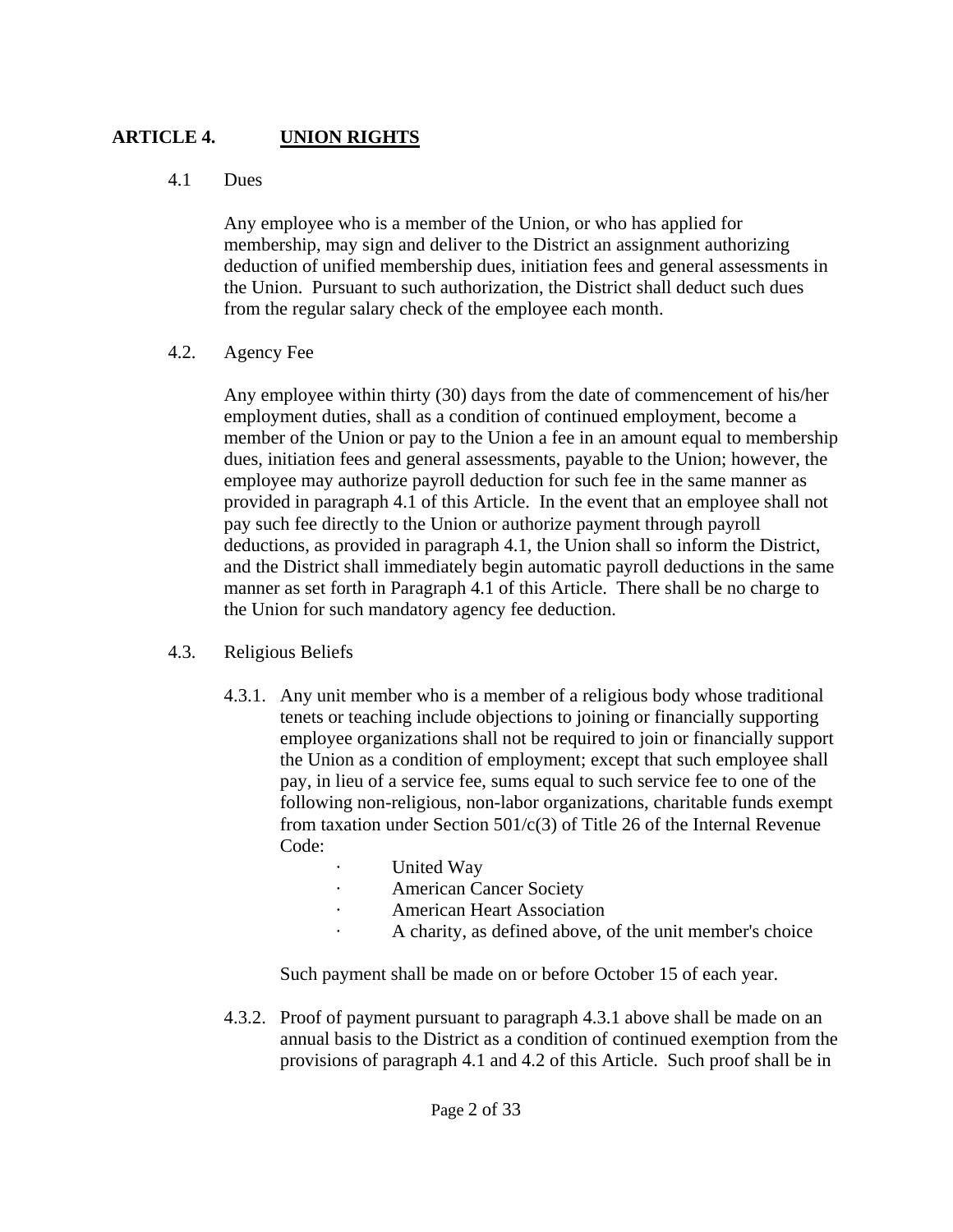# **ARTICLE 4. UNION RIGHTS**

### 4.1 Dues

 Any employee who is a member of the Union, or who has applied for membership, may sign and deliver to the District an assignment authorizing deduction of unified membership dues, initiation fees and general assessments in the Union. Pursuant to such authorization, the District shall deduct such dues from the regular salary check of the employee each month.

# 4.2. Agency Fee

 Any employee within thirty (30) days from the date of commencement of his/her employment duties, shall as a condition of continued employment, become a member of the Union or pay to the Union a fee in an amount equal to membership dues, initiation fees and general assessments, payable to the Union; however, the employee may authorize payroll deduction for such fee in the same manner as provided in paragraph 4.1 of this Article. In the event that an employee shall not pay such fee directly to the Union or authorize payment through payroll deductions, as provided in paragraph 4.1, the Union shall so inform the District, and the District shall immediately begin automatic payroll deductions in the same manner as set forth in Paragraph 4.1 of this Article. There shall be no charge to the Union for such mandatory agency fee deduction.

# 4.3. Religious Beliefs

- 4.3.1. Any unit member who is a member of a religious body whose traditional tenets or teaching include objections to joining or financially supporting employee organizations shall not be required to join or financially support the Union as a condition of employment; except that such employee shall pay, in lieu of a service fee, sums equal to such service fee to one of the following non-religious, non-labor organizations, charitable funds exempt from taxation under Section  $501/c(3)$  of Title 26 of the Internal Revenue Code:
	- United Way
	- American Cancer Society
	- · American Heart Association
	- · A charity, as defined above, of the unit member's choice

Such payment shall be made on or before October 15 of each year.

 4.3.2. Proof of payment pursuant to paragraph 4.3.1 above shall be made on an annual basis to the District as a condition of continued exemption from the provisions of paragraph 4.1 and 4.2 of this Article. Such proof shall be in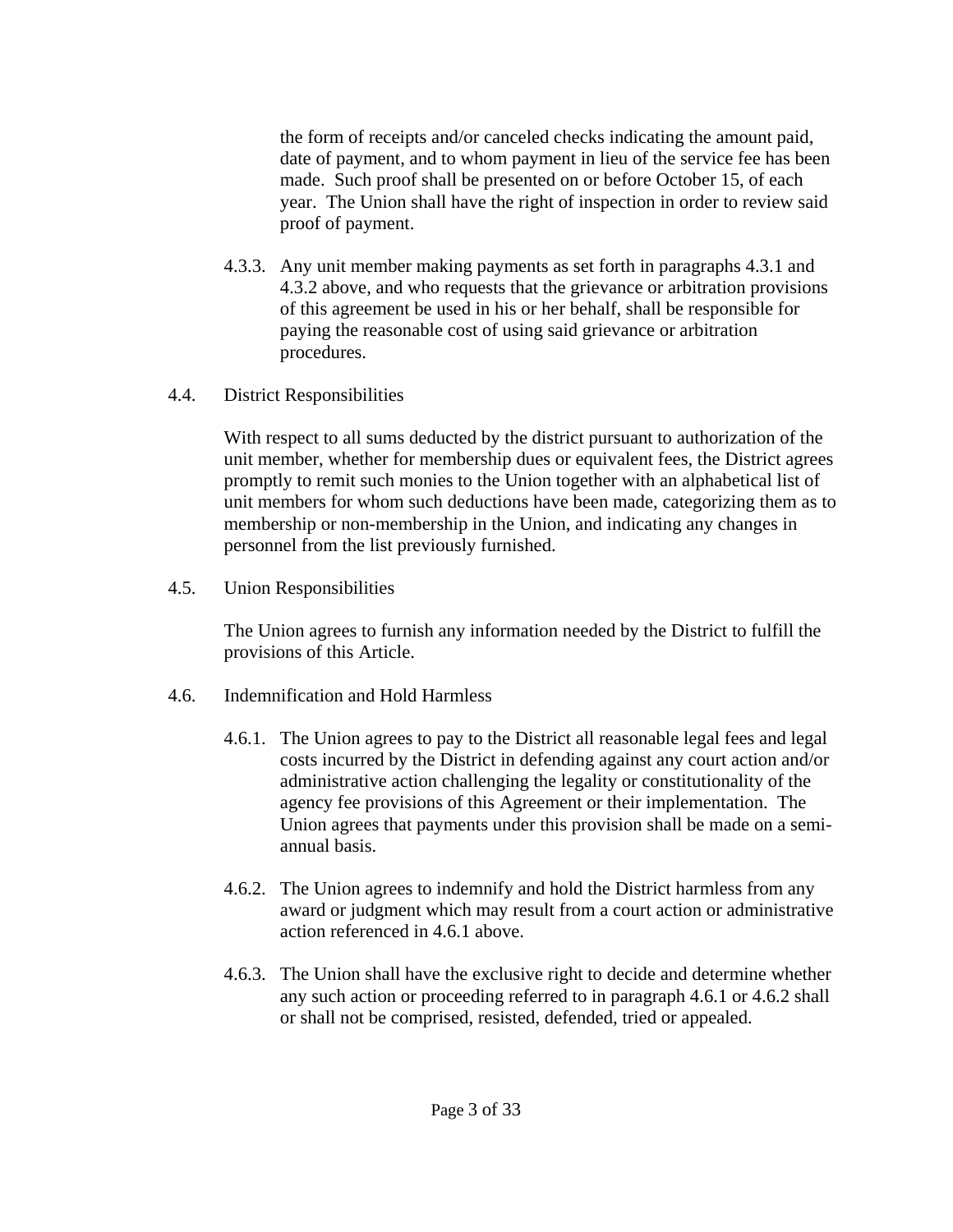the form of receipts and/or canceled checks indicating the amount paid, date of payment, and to whom payment in lieu of the service fee has been made. Such proof shall be presented on or before October 15, of each year. The Union shall have the right of inspection in order to review said proof of payment.

- 4.3.3. Any unit member making payments as set forth in paragraphs 4.3.1 and 4.3.2 above, and who requests that the grievance or arbitration provisions of this agreement be used in his or her behalf, shall be responsible for paying the reasonable cost of using said grievance or arbitration procedures.
- 4.4. District Responsibilities

 With respect to all sums deducted by the district pursuant to authorization of the unit member, whether for membership dues or equivalent fees, the District agrees promptly to remit such monies to the Union together with an alphabetical list of unit members for whom such deductions have been made, categorizing them as to membership or non-membership in the Union, and indicating any changes in personnel from the list previously furnished.

4.5. Union Responsibilities

 The Union agrees to furnish any information needed by the District to fulfill the provisions of this Article.

- 4.6. Indemnification and Hold Harmless
	- 4.6.1. The Union agrees to pay to the District all reasonable legal fees and legal costs incurred by the District in defending against any court action and/or administrative action challenging the legality or constitutionality of the agency fee provisions of this Agreement or their implementation. The Union agrees that payments under this provision shall be made on a semiannual basis.
	- 4.6.2. The Union agrees to indemnify and hold the District harmless from any award or judgment which may result from a court action or administrative action referenced in 4.6.1 above.
	- 4.6.3. The Union shall have the exclusive right to decide and determine whether any such action or proceeding referred to in paragraph 4.6.1 or 4.6.2 shall or shall not be comprised, resisted, defended, tried or appealed.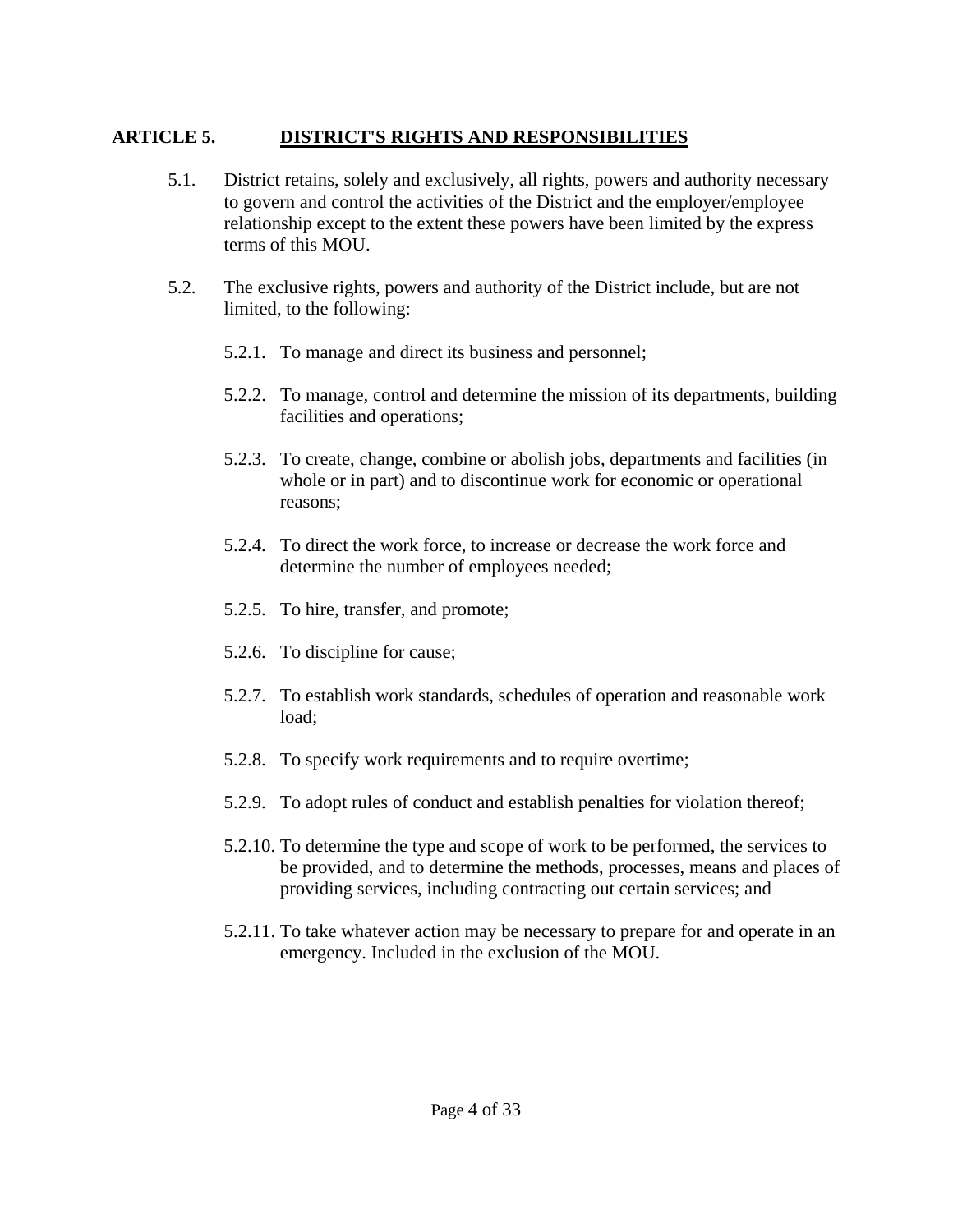# **ARTICLE 5. DISTRICT'S RIGHTS AND RESPONSIBILITIES**

- 5.1. District retains, solely and exclusively, all rights, powers and authority necessary to govern and control the activities of the District and the employer/employee relationship except to the extent these powers have been limited by the express terms of this MOU.
- 5.2. The exclusive rights, powers and authority of the District include, but are not limited, to the following:
	- 5.2.1. To manage and direct its business and personnel;
	- 5.2.2. To manage, control and determine the mission of its departments, building facilities and operations;
	- 5.2.3. To create, change, combine or abolish jobs, departments and facilities (in whole or in part) and to discontinue work for economic or operational reasons;
	- 5.2.4. To direct the work force, to increase or decrease the work force and determine the number of employees needed;
	- 5.2.5. To hire, transfer, and promote;
	- 5.2.6. To discipline for cause;
	- 5.2.7. To establish work standards, schedules of operation and reasonable work load;
	- 5.2.8. To specify work requirements and to require overtime;
	- 5.2.9. To adopt rules of conduct and establish penalties for violation thereof;
	- 5.2.10. To determine the type and scope of work to be performed, the services to be provided, and to determine the methods, processes, means and places of providing services, including contracting out certain services; and
	- 5.2.11. To take whatever action may be necessary to prepare for and operate in an emergency. Included in the exclusion of the MOU.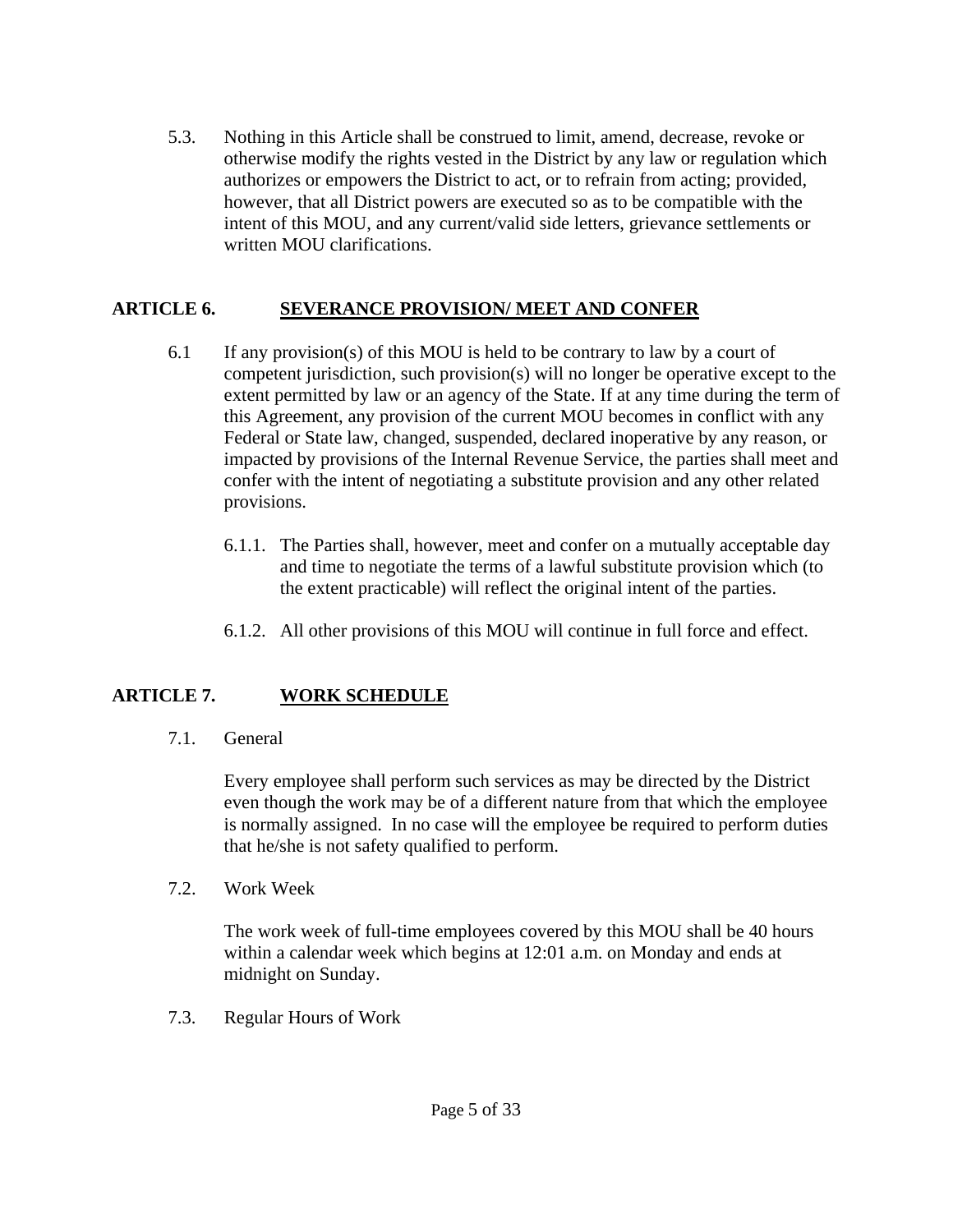5.3. Nothing in this Article shall be construed to limit, amend, decrease, revoke or otherwise modify the rights vested in the District by any law or regulation which authorizes or empowers the District to act, or to refrain from acting; provided, however, that all District powers are executed so as to be compatible with the intent of this MOU, and any current/valid side letters, grievance settlements or written MOU clarifications.

# **ARTICLE 6. SEVERANCE PROVISION/ MEET AND CONFER**

- 6.1 If any provision(s) of this MOU is held to be contrary to law by a court of competent jurisdiction, such provision(s) will no longer be operative except to the extent permitted by law or an agency of the State. If at any time during the term of this Agreement, any provision of the current MOU becomes in conflict with any Federal or State law, changed, suspended, declared inoperative by any reason, or impacted by provisions of the Internal Revenue Service, the parties shall meet and confer with the intent of negotiating a substitute provision and any other related provisions.
	- 6.1.1. The Parties shall, however, meet and confer on a mutually acceptable day and time to negotiate the terms of a lawful substitute provision which (to the extent practicable) will reflect the original intent of the parties.
	- 6.1.2. All other provisions of this MOU will continue in full force and effect.

# **ARTICLE 7. WORK SCHEDULE**

7.1. General

 Every employee shall perform such services as may be directed by the District even though the work may be of a different nature from that which the employee is normally assigned. In no case will the employee be required to perform duties that he/she is not safety qualified to perform.

7.2. Work Week

 The work week of full-time employees covered by this MOU shall be 40 hours within a calendar week which begins at 12:01 a.m. on Monday and ends at midnight on Sunday.

7.3. Regular Hours of Work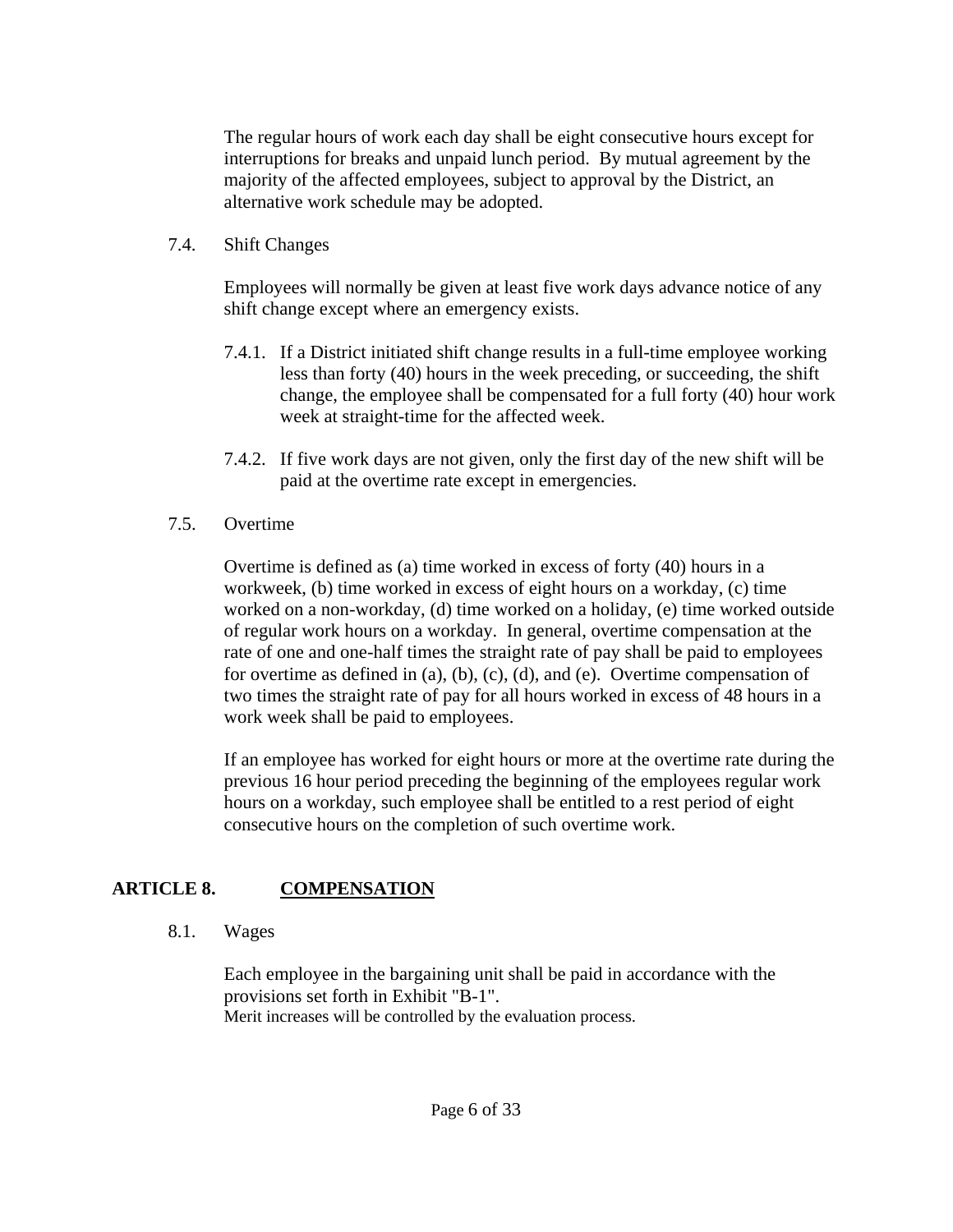The regular hours of work each day shall be eight consecutive hours except for interruptions for breaks and unpaid lunch period. By mutual agreement by the majority of the affected employees, subject to approval by the District, an alternative work schedule may be adopted.

#### 7.4. Shift Changes

 Employees will normally be given at least five work days advance notice of any shift change except where an emergency exists.

- 7.4.1. If a District initiated shift change results in a full-time employee working less than forty (40) hours in the week preceding, or succeeding, the shift change, the employee shall be compensated for a full forty (40) hour work week at straight-time for the affected week.
- 7.4.2. If five work days are not given, only the first day of the new shift will be paid at the overtime rate except in emergencies.
- 7.5. Overtime

 Overtime is defined as (a) time worked in excess of forty (40) hours in a workweek, (b) time worked in excess of eight hours on a workday, (c) time worked on a non-workday, (d) time worked on a holiday, (e) time worked outside of regular work hours on a workday. In general, overtime compensation at the rate of one and one-half times the straight rate of pay shall be paid to employees for overtime as defined in (a), (b), (c), (d), and (e). Overtime compensation of two times the straight rate of pay for all hours worked in excess of 48 hours in a work week shall be paid to employees.

 If an employee has worked for eight hours or more at the overtime rate during the previous 16 hour period preceding the beginning of the employees regular work hours on a workday, such employee shall be entitled to a rest period of eight consecutive hours on the completion of such overtime work.

# **ARTICLE 8. COMPENSATION**

8.1. Wages

 Each employee in the bargaining unit shall be paid in accordance with the provisions set forth in Exhibit "B-1". Merit increases will be controlled by the evaluation process.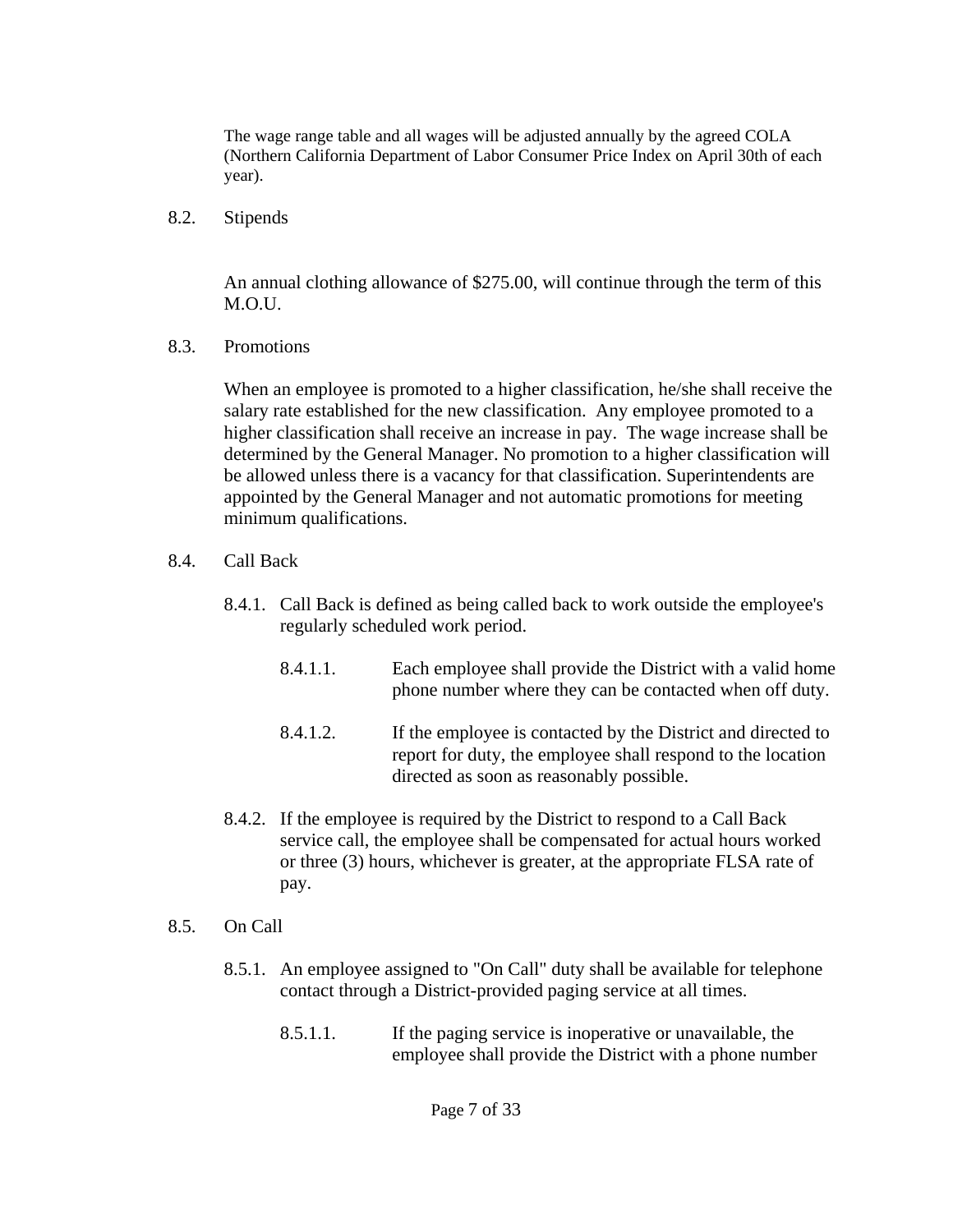The wage range table and all wages will be adjusted annually by the agreed COLA (Northern California Department of Labor Consumer Price Index on April 30th of each year).

8.2. Stipends

 An annual clothing allowance of \$275.00, will continue through the term of this M.O.U.

8.3. Promotions

When an employee is promoted to a higher classification, he/she shall receive the salary rate established for the new classification. Any employee promoted to a higher classification shall receive an increase in pay. The wage increase shall be determined by the General Manager. No promotion to a higher classification will be allowed unless there is a vacancy for that classification. Superintendents are appointed by the General Manager and not automatic promotions for meeting minimum qualifications.

- 8.4. Call Back
	- 8.4.1. Call Back is defined as being called back to work outside the employee's regularly scheduled work period.
		- 8.4.1.1. Each employee shall provide the District with a valid home phone number where they can be contacted when off duty.
		- 8.4.1.2. If the employee is contacted by the District and directed to report for duty, the employee shall respond to the location directed as soon as reasonably possible.
	- 8.4.2. If the employee is required by the District to respond to a Call Back service call, the employee shall be compensated for actual hours worked or three (3) hours, whichever is greater, at the appropriate FLSA rate of pay.
- 8.5. On Call
	- 8.5.1. An employee assigned to "On Call" duty shall be available for telephone contact through a District-provided paging service at all times.
		- 8.5.1.1. If the paging service is inoperative or unavailable, the employee shall provide the District with a phone number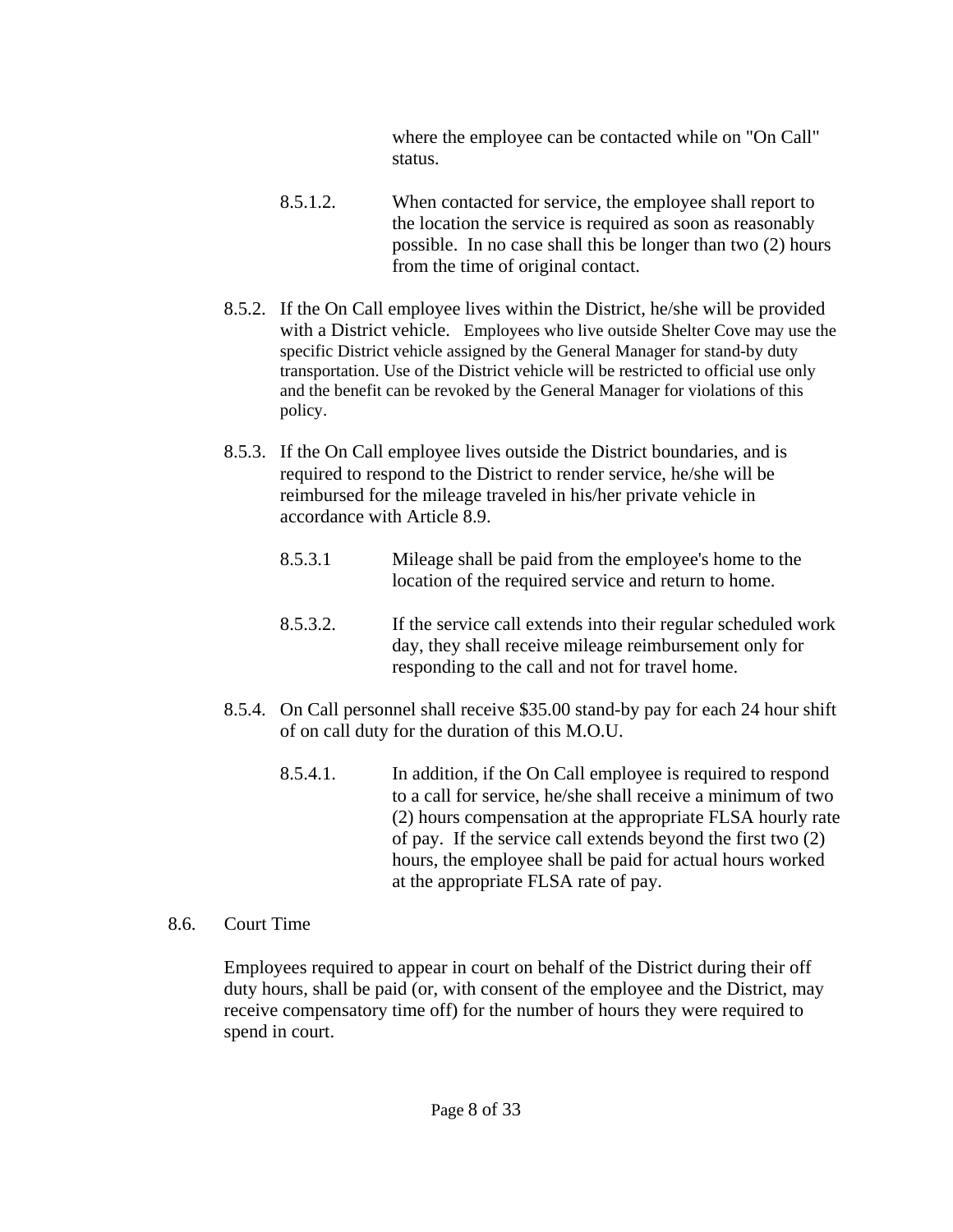where the employee can be contacted while on "On Call" status.

- 8.5.1.2. When contacted for service, the employee shall report to the location the service is required as soon as reasonably possible. In no case shall this be longer than two (2) hours from the time of original contact.
- 8.5.2. If the On Call employee lives within the District, he/she will be provided with a District vehicle. Employees who live outside Shelter Cove may use the specific District vehicle assigned by the General Manager for stand-by duty transportation. Use of the District vehicle will be restricted to official use only and the benefit can be revoked by the General Manager for violations of this policy.
- 8.5.3. If the On Call employee lives outside the District boundaries, and is required to respond to the District to render service, he/she will be reimbursed for the mileage traveled in his/her private vehicle in accordance with Article 8.9.
	- 8.5.3.1 Mileage shall be paid from the employee's home to the location of the required service and return to home.
	- 8.5.3.2. If the service call extends into their regular scheduled work day, they shall receive mileage reimbursement only for responding to the call and not for travel home.
- 8.5.4. On Call personnel shall receive \$35.00 stand-by pay for each 24 hour shift of on call duty for the duration of this M.O.U.
	- 8.5.4.1. In addition, if the On Call employee is required to respond to a call for service, he/she shall receive a minimum of two (2) hours compensation at the appropriate FLSA hourly rate of pay. If the service call extends beyond the first two (2) hours, the employee shall be paid for actual hours worked at the appropriate FLSA rate of pay.

# 8.6. Court Time

 Employees required to appear in court on behalf of the District during their off duty hours, shall be paid (or, with consent of the employee and the District, may receive compensatory time off) for the number of hours they were required to spend in court.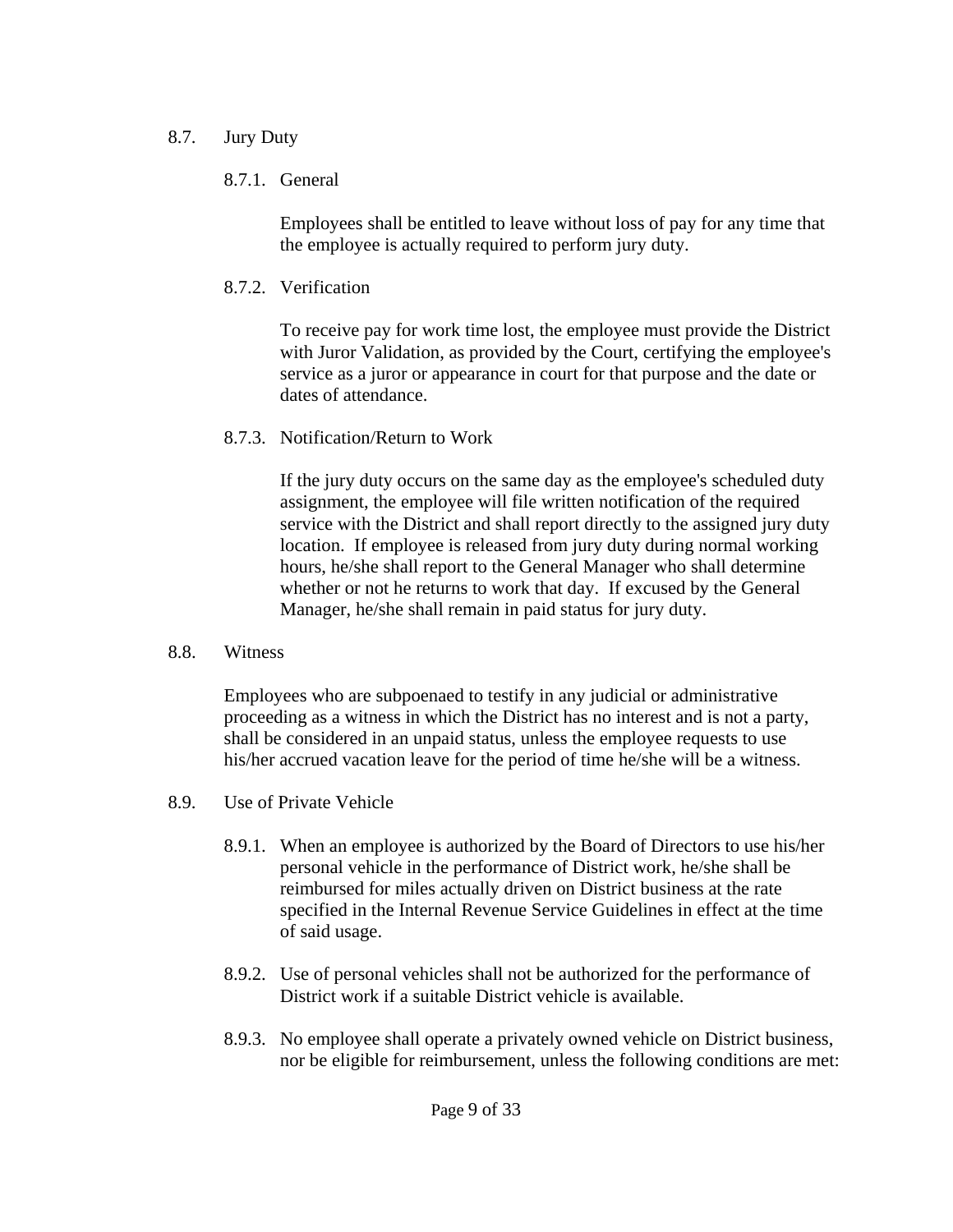# 8.7. Jury Duty

# 8.7.1. General

 Employees shall be entitled to leave without loss of pay for any time that the employee is actually required to perform jury duty.

8.7.2. Verification

 To receive pay for work time lost, the employee must provide the District with Juror Validation, as provided by the Court, certifying the employee's service as a juror or appearance in court for that purpose and the date or dates of attendance.

8.7.3. Notification/Return to Work

 If the jury duty occurs on the same day as the employee's scheduled duty assignment, the employee will file written notification of the required service with the District and shall report directly to the assigned jury duty location. If employee is released from jury duty during normal working hours, he/she shall report to the General Manager who shall determine whether or not he returns to work that day. If excused by the General Manager, he/she shall remain in paid status for jury duty.

8.8. Witness

 Employees who are subpoenaed to testify in any judicial or administrative proceeding as a witness in which the District has no interest and is not a party, shall be considered in an unpaid status, unless the employee requests to use his/her accrued vacation leave for the period of time he/she will be a witness.

- 8.9. Use of Private Vehicle
	- 8.9.1. When an employee is authorized by the Board of Directors to use his/her personal vehicle in the performance of District work, he/she shall be reimbursed for miles actually driven on District business at the rate specified in the Internal Revenue Service Guidelines in effect at the time of said usage.
	- 8.9.2. Use of personal vehicles shall not be authorized for the performance of District work if a suitable District vehicle is available.
	- 8.9.3. No employee shall operate a privately owned vehicle on District business, nor be eligible for reimbursement, unless the following conditions are met: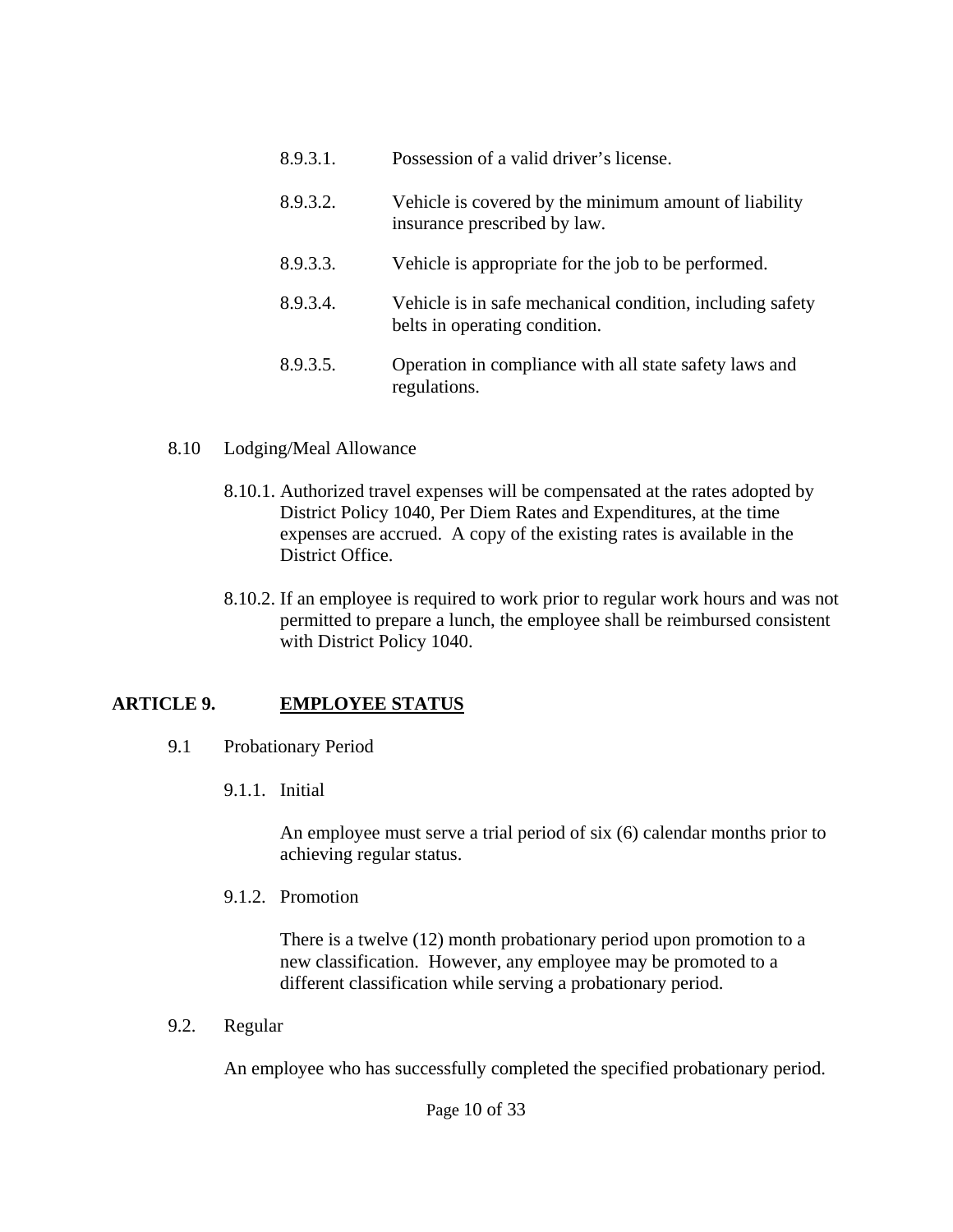- 8.9.3.1. Possession of a valid driver's license.
- 8.9.3.2. Vehicle is covered by the minimum amount of liability insurance prescribed by law.
- 8.9.3.3. Vehicle is appropriate for the job to be performed.
- 8.9.3.4. Vehicle is in safe mechanical condition, including safety belts in operating condition.
- 8.9.3.5. Operation in compliance with all state safety laws and regulations.

#### 8.10 Lodging/Meal Allowance

- 8.10.1. Authorized travel expenses will be compensated at the rates adopted by District Policy 1040, Per Diem Rates and Expenditures, at the time expenses are accrued. A copy of the existing rates is available in the District Office.
- 8.10.2. If an employee is required to work prior to regular work hours and was not permitted to prepare a lunch, the employee shall be reimbursed consistent with District Policy 1040.

# **ARTICLE 9. EMPLOYEE STATUS**

- 9.1 Probationary Period
	- 9.1.1. Initial

 An employee must serve a trial period of six (6) calendar months prior to achieving regular status.

9.1.2. Promotion

 There is a twelve (12) month probationary period upon promotion to a new classification. However, any employee may be promoted to a different classification while serving a probationary period.

9.2. Regular

An employee who has successfully completed the specified probationary period.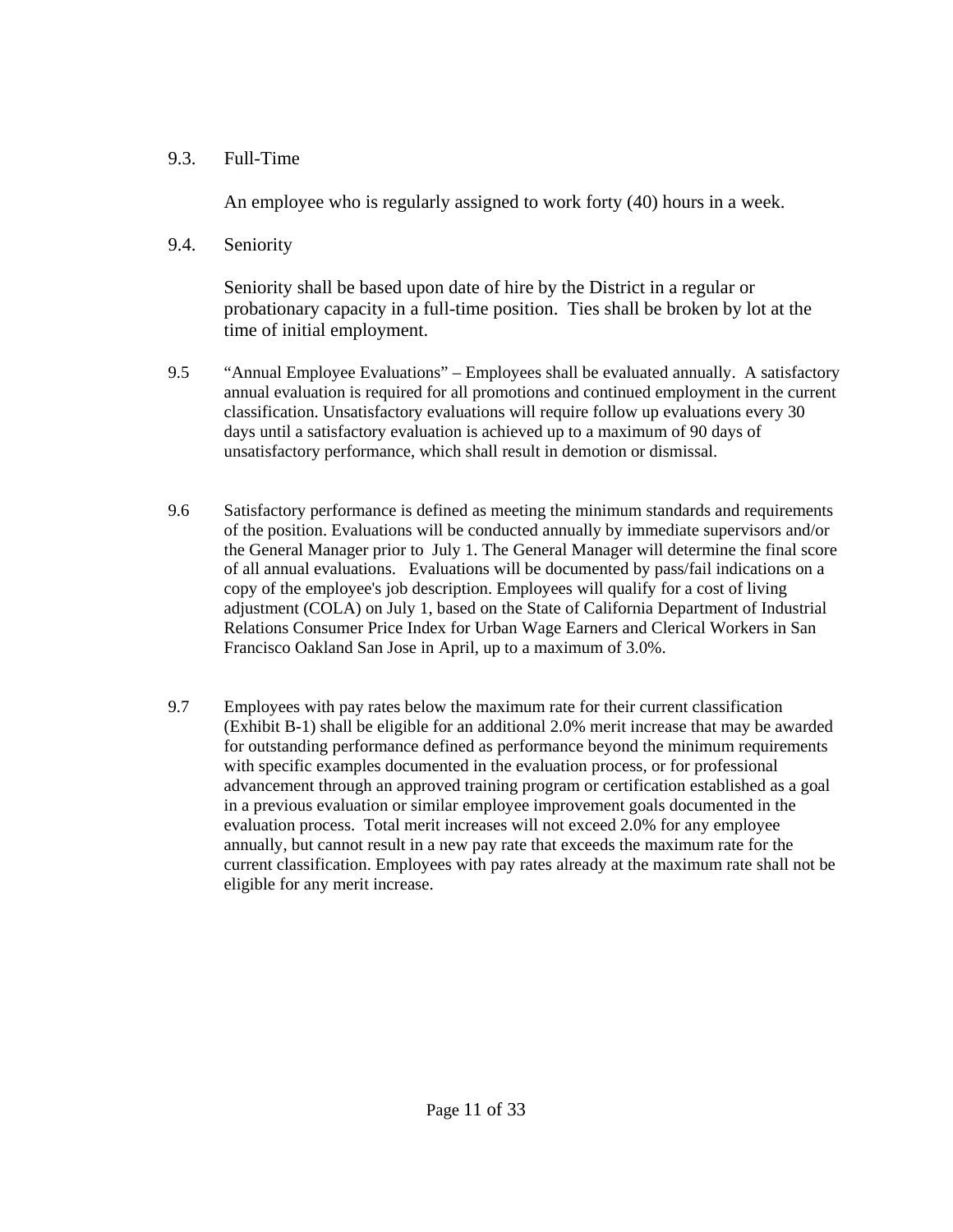### 9.3. Full-Time

An employee who is regularly assigned to work forty (40) hours in a week.

9.4. Seniority

 Seniority shall be based upon date of hire by the District in a regular or probationary capacity in a full-time position. Ties shall be broken by lot at the time of initial employment.

- 9.5 "Annual Employee Evaluations" Employees shall be evaluated annually. A satisfactory annual evaluation is required for all promotions and continued employment in the current classification. Unsatisfactory evaluations will require follow up evaluations every 30 days until a satisfactory evaluation is achieved up to a maximum of 90 days of unsatisfactory performance, which shall result in demotion or dismissal.
- 9.6 Satisfactory performance is defined as meeting the minimum standards and requirements of the position. Evaluations will be conducted annually by immediate supervisors and/or the General Manager prior to July 1. The General Manager will determine the final score of all annual evaluations. Evaluations will be documented by pass/fail indications on a copy of the employee's job description. Employees will qualify for a cost of living adjustment (COLA) on July 1, based on the State of California Department of Industrial Relations Consumer Price Index for Urban Wage Earners and Clerical Workers in San Francisco Oakland San Jose in April, up to a maximum of 3.0%.
- 9.7 Employees with pay rates below the maximum rate for their current classification (Exhibit B-1) shall be eligible for an additional 2.0% merit increase that may be awarded for outstanding performance defined as performance beyond the minimum requirements with specific examples documented in the evaluation process, or for professional advancement through an approved training program or certification established as a goal in a previous evaluation or similar employee improvement goals documented in the evaluation process. Total merit increases will not exceed 2.0% for any employee annually, but cannot result in a new pay rate that exceeds the maximum rate for the current classification. Employees with pay rates already at the maximum rate shall not be eligible for any merit increase.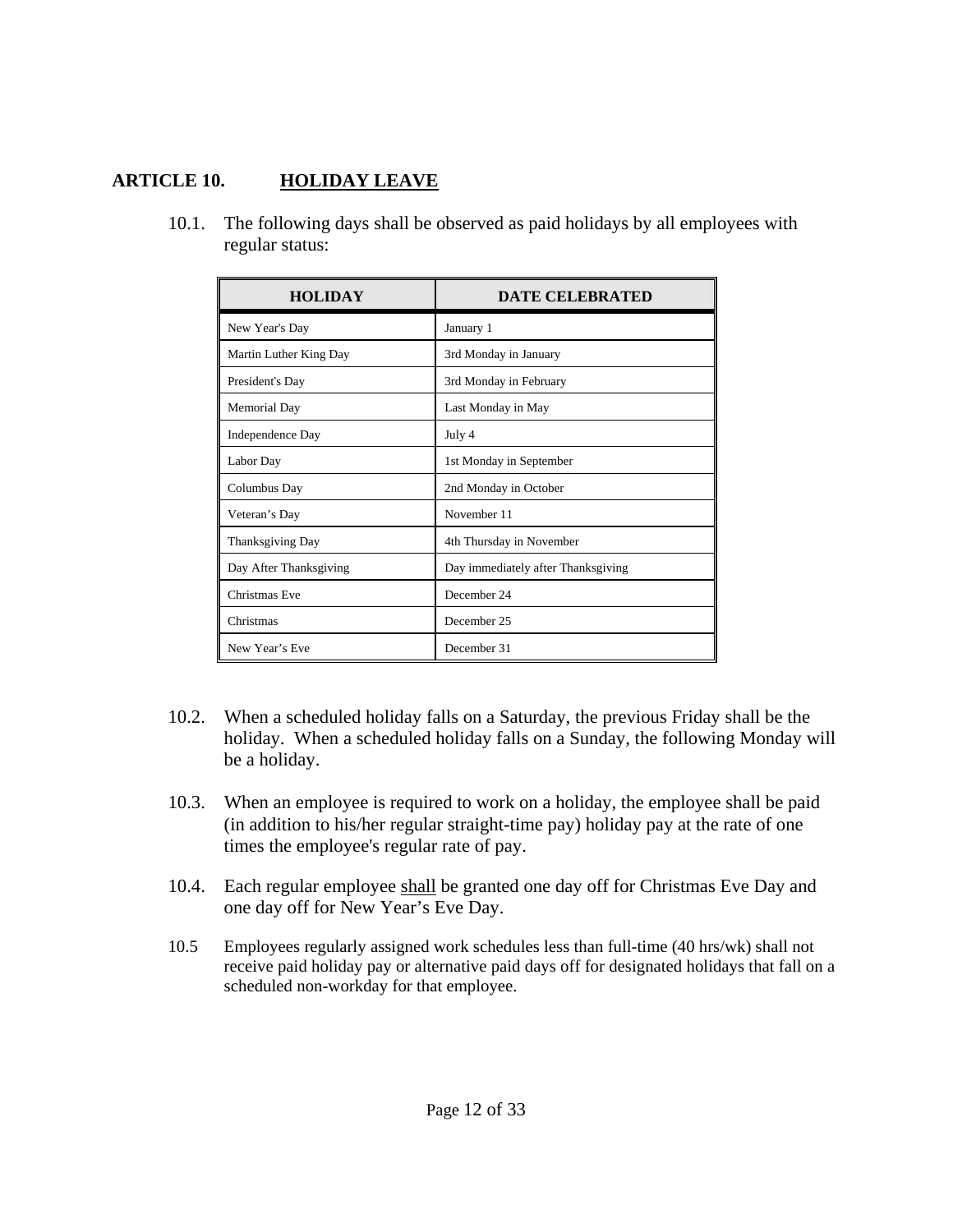# **ARTICLE 10. HOLIDAY LEAVE**

 10.1. The following days shall be observed as paid holidays by all employees with regular status:

| <b>HOLIDAY</b>         | <b>DATE CELEBRATED</b>             |
|------------------------|------------------------------------|
| New Year's Day         | January 1                          |
| Martin Luther King Day | 3rd Monday in January              |
| President's Day        | 3rd Monday in February             |
| Memorial Day           | Last Monday in May                 |
| Independence Day       | July 4                             |
| Labor Day              | 1st Monday in September            |
| Columbus Day           | 2nd Monday in October              |
| Veteran's Day          | November 11                        |
| Thanksgiving Day       | 4th Thursday in November           |
| Day After Thanksgiving | Day immediately after Thanksgiving |
| Christmas Eve          | December 24                        |
| Christmas              | December 25                        |
| New Year's Eve         | December 31                        |

- 10.2. When a scheduled holiday falls on a Saturday, the previous Friday shall be the holiday. When a scheduled holiday falls on a Sunday, the following Monday will be a holiday.
- 10.3. When an employee is required to work on a holiday, the employee shall be paid (in addition to his/her regular straight-time pay) holiday pay at the rate of one times the employee's regular rate of pay.
- 10.4. Each regular employee shall be granted one day off for Christmas Eve Day and one day off for New Year's Eve Day.
- 10.5 Employees regularly assigned work schedules less than full-time (40 hrs/wk) shall not receive paid holiday pay or alternative paid days off for designated holidays that fall on a scheduled non-workday for that employee.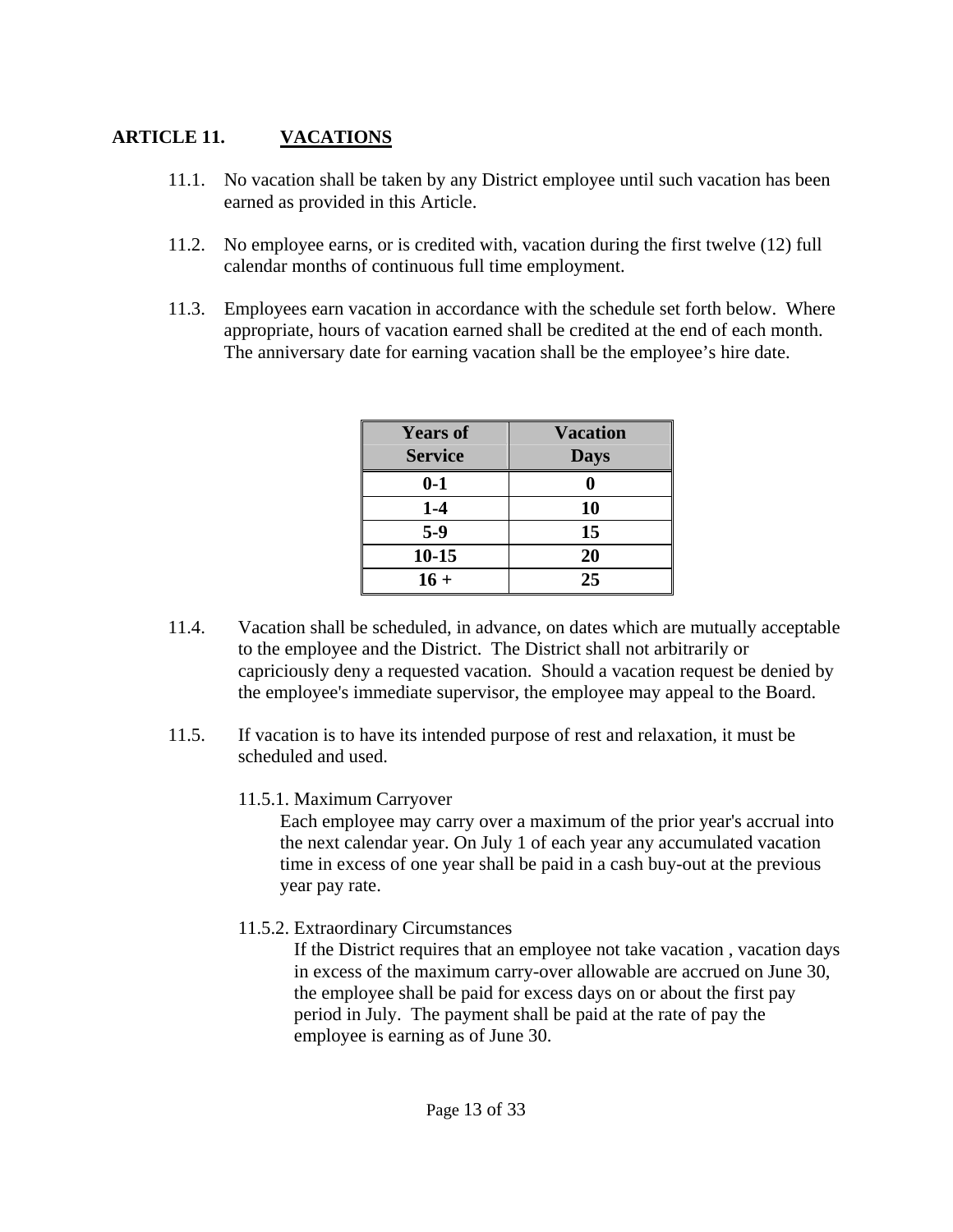# **ARTICLE 11. VACATIONS**

- 11.1. No vacation shall be taken by any District employee until such vacation has been earned as provided in this Article.
- 11.2. No employee earns, or is credited with, vacation during the first twelve (12) full calendar months of continuous full time employment.
- 11.3. Employees earn vacation in accordance with the schedule set forth below. Where appropriate, hours of vacation earned shall be credited at the end of each month. The anniversary date for earning vacation shall be the employee's hire date.

| <b>Years of</b> | <b>Vacation</b> |
|-----------------|-----------------|
| <b>Service</b>  | <b>Days</b>     |
| $0-1$           |                 |
| $1-4$           | 10              |
| $5-9$           | 15              |
| $10 - 15$       | 20              |
| $16 +$          | 25              |

- 11.4. Vacation shall be scheduled, in advance, on dates which are mutually acceptable to the employee and the District. The District shall not arbitrarily or capriciously deny a requested vacation. Should a vacation request be denied by the employee's immediate supervisor, the employee may appeal to the Board.
- 11.5. If vacation is to have its intended purpose of rest and relaxation, it must be scheduled and used.
	- 11.5.1. Maximum Carryover

Each employee may carry over a maximum of the prior year's accrual into the next calendar year. On July 1 of each year any accumulated vacation time in excess of one year shall be paid in a cash buy-out at the previous year pay rate.

11.5.2. Extraordinary Circumstances

 If the District requires that an employee not take vacation , vacation days in excess of the maximum carry-over allowable are accrued on June 30, the employee shall be paid for excess days on or about the first pay period in July. The payment shall be paid at the rate of pay the employee is earning as of June 30.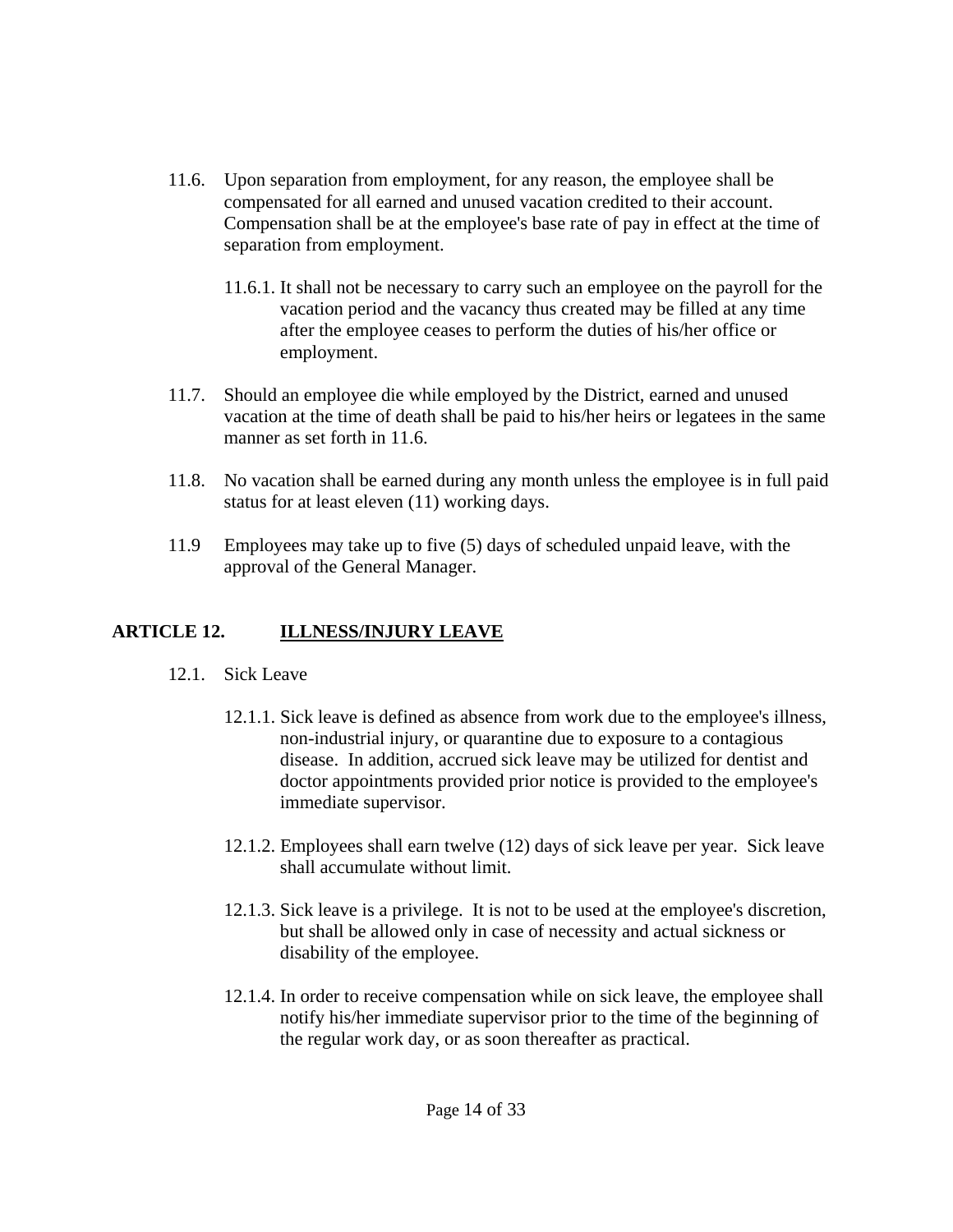- 11.6. Upon separation from employment, for any reason, the employee shall be compensated for all earned and unused vacation credited to their account. Compensation shall be at the employee's base rate of pay in effect at the time of separation from employment.
	- 11.6.1. It shall not be necessary to carry such an employee on the payroll for the vacation period and the vacancy thus created may be filled at any time after the employee ceases to perform the duties of his/her office or employment.
- 11.7. Should an employee die while employed by the District, earned and unused vacation at the time of death shall be paid to his/her heirs or legatees in the same manner as set forth in 11.6.
- 11.8. No vacation shall be earned during any month unless the employee is in full paid status for at least eleven (11) working days.
- 11.9 Employees may take up to five (5) days of scheduled unpaid leave, with the approval of the General Manager.

# **ARTICLE 12. ILLNESS/INJURY LEAVE**

- 12.1. Sick Leave
	- 12.1.1. Sick leave is defined as absence from work due to the employee's illness, non-industrial injury, or quarantine due to exposure to a contagious disease. In addition, accrued sick leave may be utilized for dentist and doctor appointments provided prior notice is provided to the employee's immediate supervisor.
	- 12.1.2. Employees shall earn twelve (12) days of sick leave per year. Sick leave shall accumulate without limit.
	- 12.1.3. Sick leave is a privilege. It is not to be used at the employee's discretion, but shall be allowed only in case of necessity and actual sickness or disability of the employee.
	- 12.1.4. In order to receive compensation while on sick leave, the employee shall notify his/her immediate supervisor prior to the time of the beginning of the regular work day, or as soon thereafter as practical.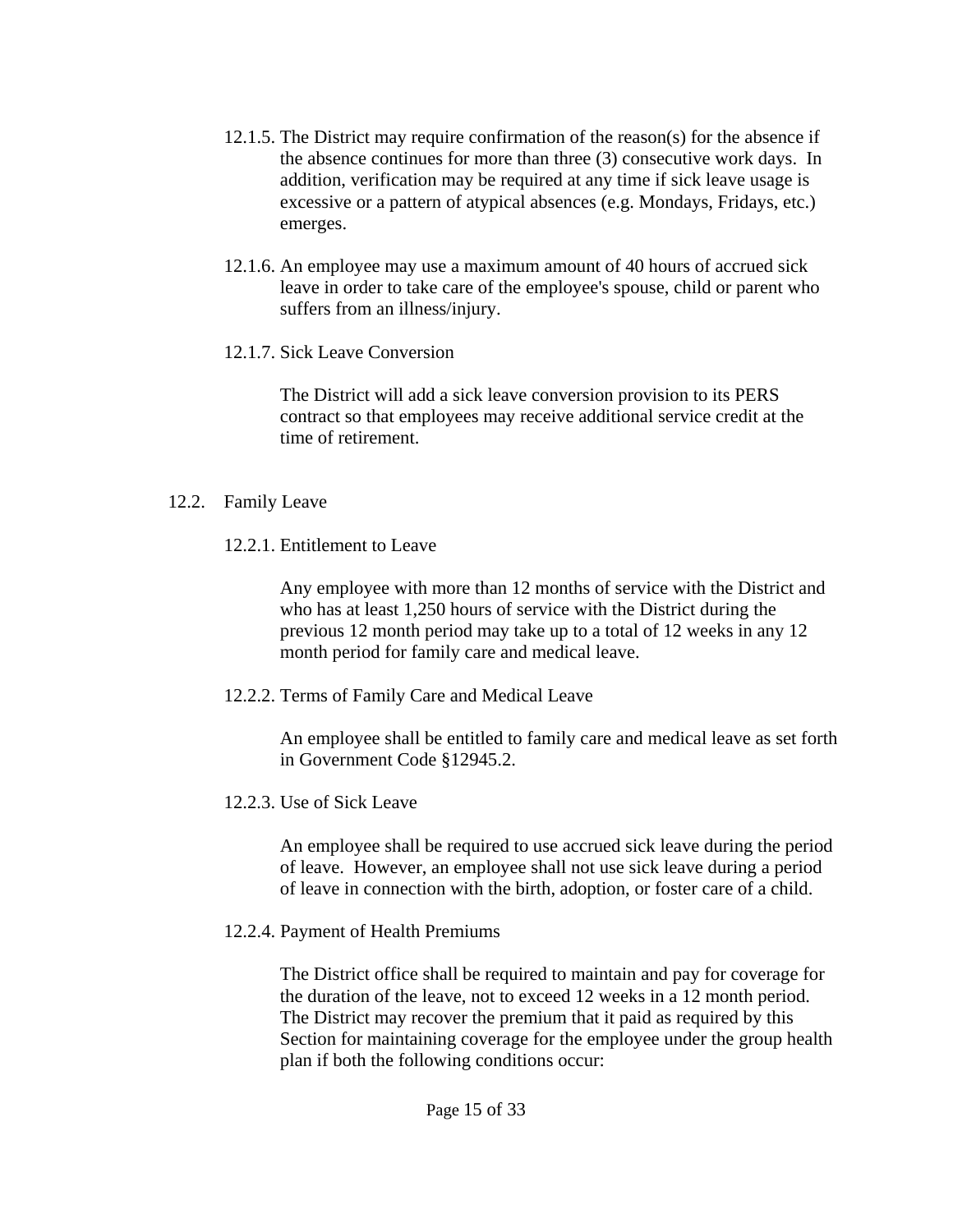- 12.1.5. The District may require confirmation of the reason(s) for the absence if the absence continues for more than three (3) consecutive work days. In addition, verification may be required at any time if sick leave usage is excessive or a pattern of atypical absences (e.g. Mondays, Fridays, etc.) emerges.
- 12.1.6. An employee may use a maximum amount of 40 hours of accrued sick leave in order to take care of the employee's spouse, child or parent who suffers from an illness/injury.
- 12.1.7. Sick Leave Conversion

 The District will add a sick leave conversion provision to its PERS contract so that employees may receive additional service credit at the time of retirement.

#### 12.2. Family Leave

12.2.1. Entitlement to Leave

 Any employee with more than 12 months of service with the District and who has at least 1,250 hours of service with the District during the previous 12 month period may take up to a total of 12 weeks in any 12 month period for family care and medical leave.

12.2.2. Terms of Family Care and Medical Leave

 An employee shall be entitled to family care and medical leave as set forth in Government Code §12945.2.

12.2.3. Use of Sick Leave

 An employee shall be required to use accrued sick leave during the period of leave. However, an employee shall not use sick leave during a period of leave in connection with the birth, adoption, or foster care of a child.

12.2.4. Payment of Health Premiums

 The District office shall be required to maintain and pay for coverage for the duration of the leave, not to exceed 12 weeks in a 12 month period. The District may recover the premium that it paid as required by this Section for maintaining coverage for the employee under the group health plan if both the following conditions occur: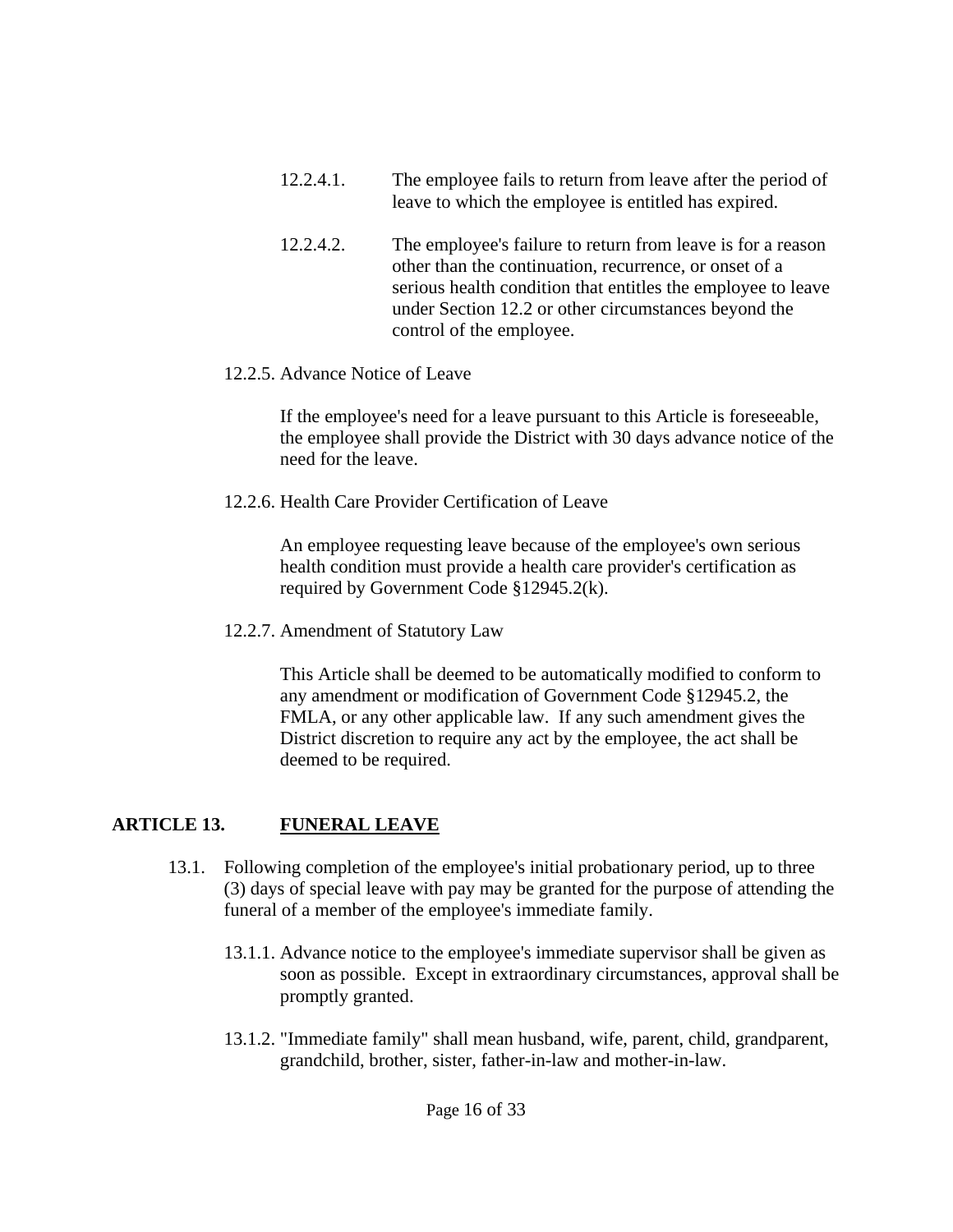- 12.2.4.1. The employee fails to return from leave after the period of leave to which the employee is entitled has expired.
- 12.2.4.2. The employee's failure to return from leave is for a reason other than the continuation, recurrence, or onset of a serious health condition that entitles the employee to leave under Section 12.2 or other circumstances beyond the control of the employee.
- 12.2.5. Advance Notice of Leave

 If the employee's need for a leave pursuant to this Article is foreseeable, the employee shall provide the District with 30 days advance notice of the need for the leave.

12.2.6. Health Care Provider Certification of Leave

 An employee requesting leave because of the employee's own serious health condition must provide a health care provider's certification as required by Government Code §12945.2(k).

12.2.7. Amendment of Statutory Law

 This Article shall be deemed to be automatically modified to conform to any amendment or modification of Government Code §12945.2, the FMLA, or any other applicable law. If any such amendment gives the District discretion to require any act by the employee, the act shall be deemed to be required.

# **ARTICLE 13. FUNERAL LEAVE**

- 13.1. Following completion of the employee's initial probationary period, up to three (3) days of special leave with pay may be granted for the purpose of attending the funeral of a member of the employee's immediate family.
	- 13.1.1. Advance notice to the employee's immediate supervisor shall be given as soon as possible. Except in extraordinary circumstances, approval shall be promptly granted.
	- 13.1.2. "Immediate family" shall mean husband, wife, parent, child, grandparent, grandchild, brother, sister, father-in-law and mother-in-law.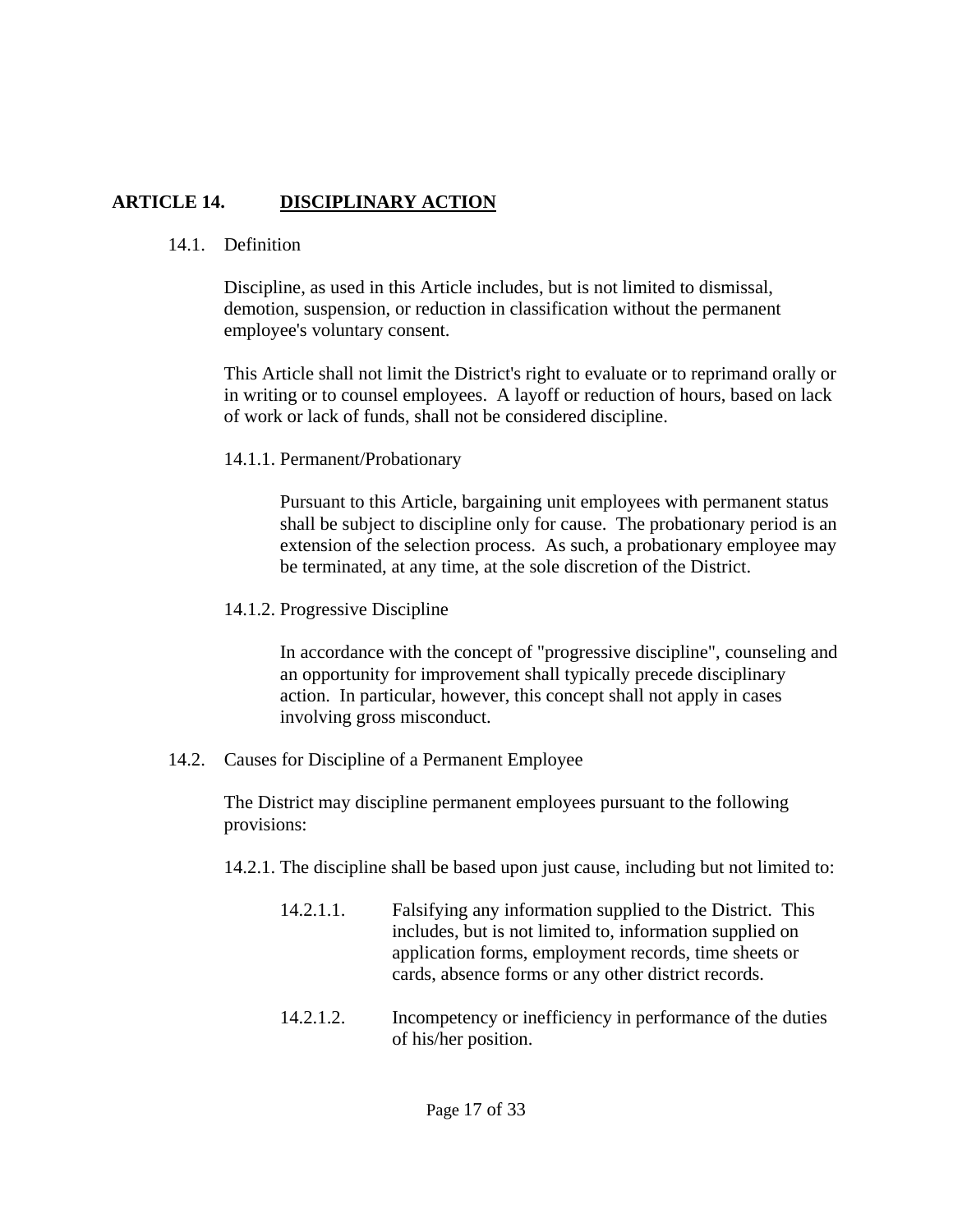# **ARTICLE 14. DISCIPLINARY ACTION**

#### 14.1. Definition

 Discipline, as used in this Article includes, but is not limited to dismissal, demotion, suspension, or reduction in classification without the permanent employee's voluntary consent.

 This Article shall not limit the District's right to evaluate or to reprimand orally or in writing or to counsel employees. A layoff or reduction of hours, based on lack of work or lack of funds, shall not be considered discipline.

#### 14.1.1. Permanent/Probationary

 Pursuant to this Article, bargaining unit employees with permanent status shall be subject to discipline only for cause. The probationary period is an extension of the selection process. As such, a probationary employee may be terminated, at any time, at the sole discretion of the District.

14.1.2. Progressive Discipline

 In accordance with the concept of "progressive discipline", counseling and an opportunity for improvement shall typically precede disciplinary action. In particular, however, this concept shall not apply in cases involving gross misconduct.

14.2. Causes for Discipline of a Permanent Employee

 The District may discipline permanent employees pursuant to the following provisions:

- 14.2.1. The discipline shall be based upon just cause, including but not limited to:
	- 14.2.1.1. Falsifying any information supplied to the District. This includes, but is not limited to, information supplied on application forms, employment records, time sheets or cards, absence forms or any other district records.
	- 14.2.1.2. Incompetency or inefficiency in performance of the duties of his/her position.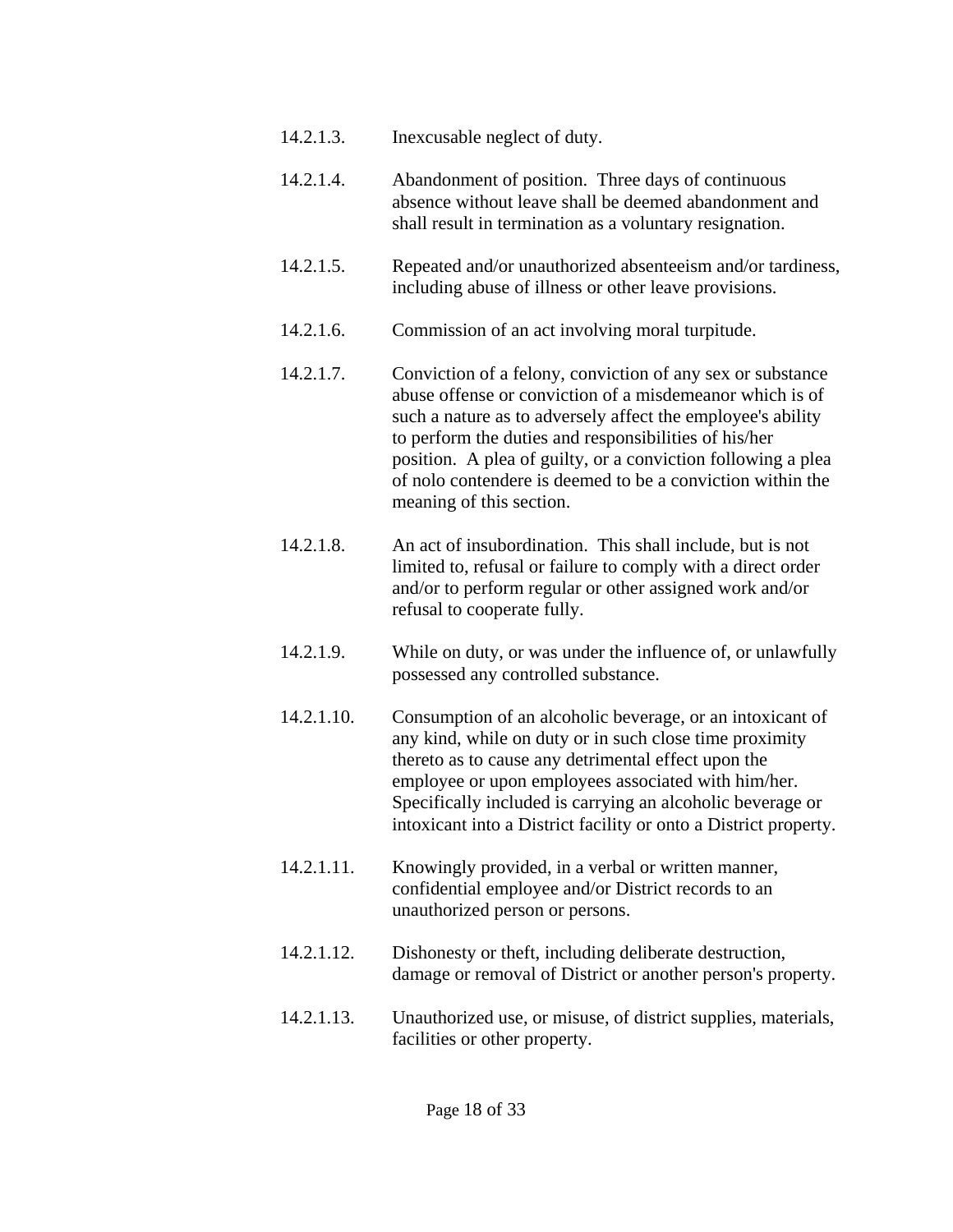- 14.2.1.3. Inexcusable neglect of duty.
- 14.2.1.4. Abandonment of position. Three days of continuous absence without leave shall be deemed abandonment and shall result in termination as a voluntary resignation.
- 14.2.1.5. Repeated and/or unauthorized absenteeism and/or tardiness, including abuse of illness or other leave provisions.
- 14.2.1.6. Commission of an act involving moral turpitude.
- 14.2.1.7. Conviction of a felony, conviction of any sex or substance abuse offense or conviction of a misdemeanor which is of such a nature as to adversely affect the employee's ability to perform the duties and responsibilities of his/her position. A plea of guilty, or a conviction following a plea of nolo contendere is deemed to be a conviction within the meaning of this section.
- 14.2.1.8. An act of insubordination. This shall include, but is not limited to, refusal or failure to comply with a direct order and/or to perform regular or other assigned work and/or refusal to cooperate fully.
- 14.2.1.9. While on duty, or was under the influence of, or unlawfully possessed any controlled substance.
- 14.2.1.10. Consumption of an alcoholic beverage, or an intoxicant of any kind, while on duty or in such close time proximity thereto as to cause any detrimental effect upon the employee or upon employees associated with him/her. Specifically included is carrying an alcoholic beverage or intoxicant into a District facility or onto a District property.
- 14.2.1.11. Knowingly provided, in a verbal or written manner, confidential employee and/or District records to an unauthorized person or persons.
- 14.2.1.12. Dishonesty or theft, including deliberate destruction, damage or removal of District or another person's property.
- 14.2.1.13. Unauthorized use, or misuse, of district supplies, materials, facilities or other property.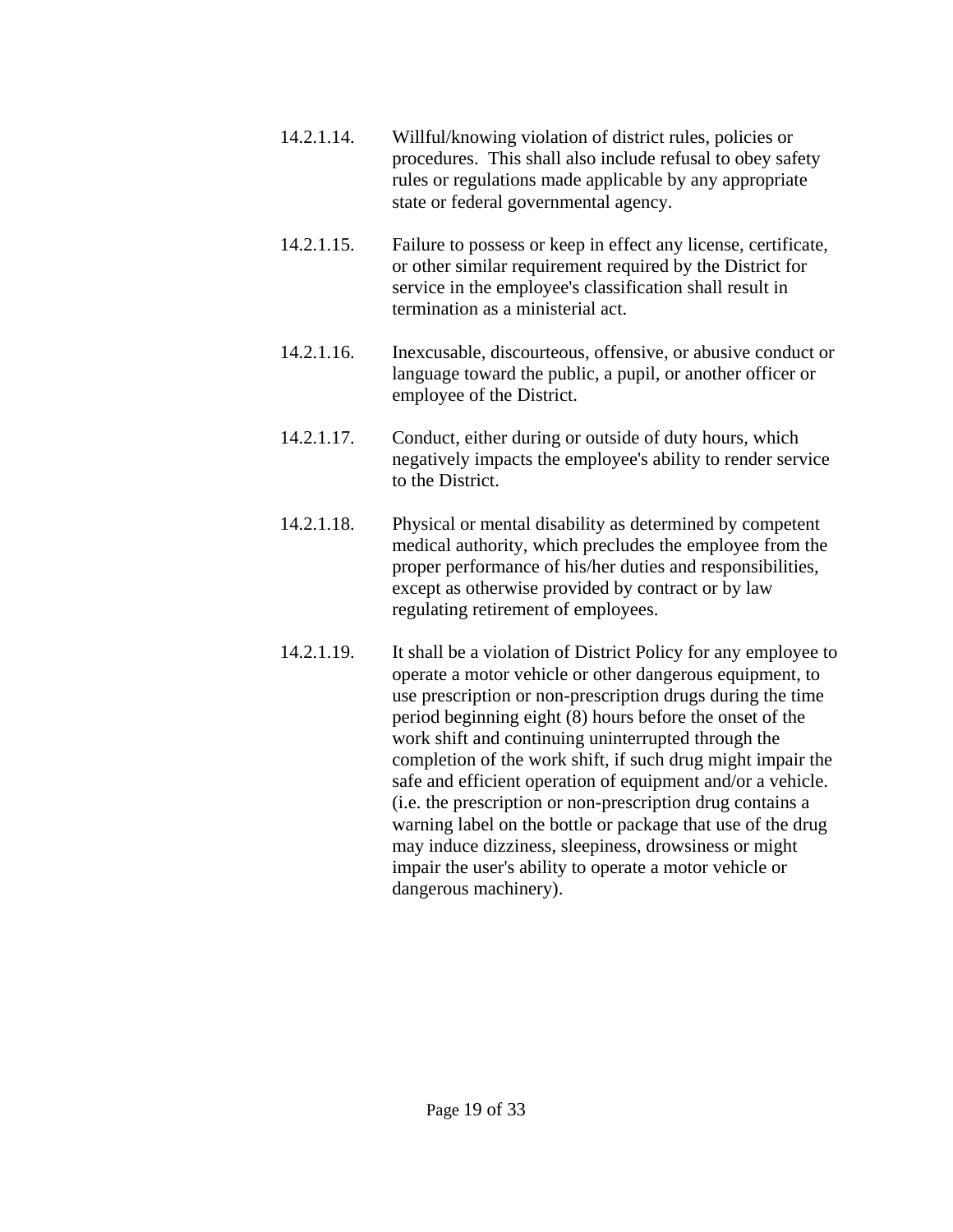- 14.2.1.14. Willful/knowing violation of district rules, policies or procedures. This shall also include refusal to obey safety rules or regulations made applicable by any appropriate state or federal governmental agency.
- 14.2.1.15. Failure to possess or keep in effect any license, certificate, or other similar requirement required by the District for service in the employee's classification shall result in termination as a ministerial act.
- 14.2.1.16. Inexcusable, discourteous, offensive, or abusive conduct or language toward the public, a pupil, or another officer or employee of the District.
- 14.2.1.17. Conduct, either during or outside of duty hours, which negatively impacts the employee's ability to render service to the District.
- 14.2.1.18. Physical or mental disability as determined by competent medical authority, which precludes the employee from the proper performance of his/her duties and responsibilities, except as otherwise provided by contract or by law regulating retirement of employees.
- 14.2.1.19. It shall be a violation of District Policy for any employee to operate a motor vehicle or other dangerous equipment, to use prescription or non-prescription drugs during the time period beginning eight (8) hours before the onset of the work shift and continuing uninterrupted through the completion of the work shift, if such drug might impair the safe and efficient operation of equipment and/or a vehicle. (i.e. the prescription or non-prescription drug contains a warning label on the bottle or package that use of the drug may induce dizziness, sleepiness, drowsiness or might impair the user's ability to operate a motor vehicle or dangerous machinery).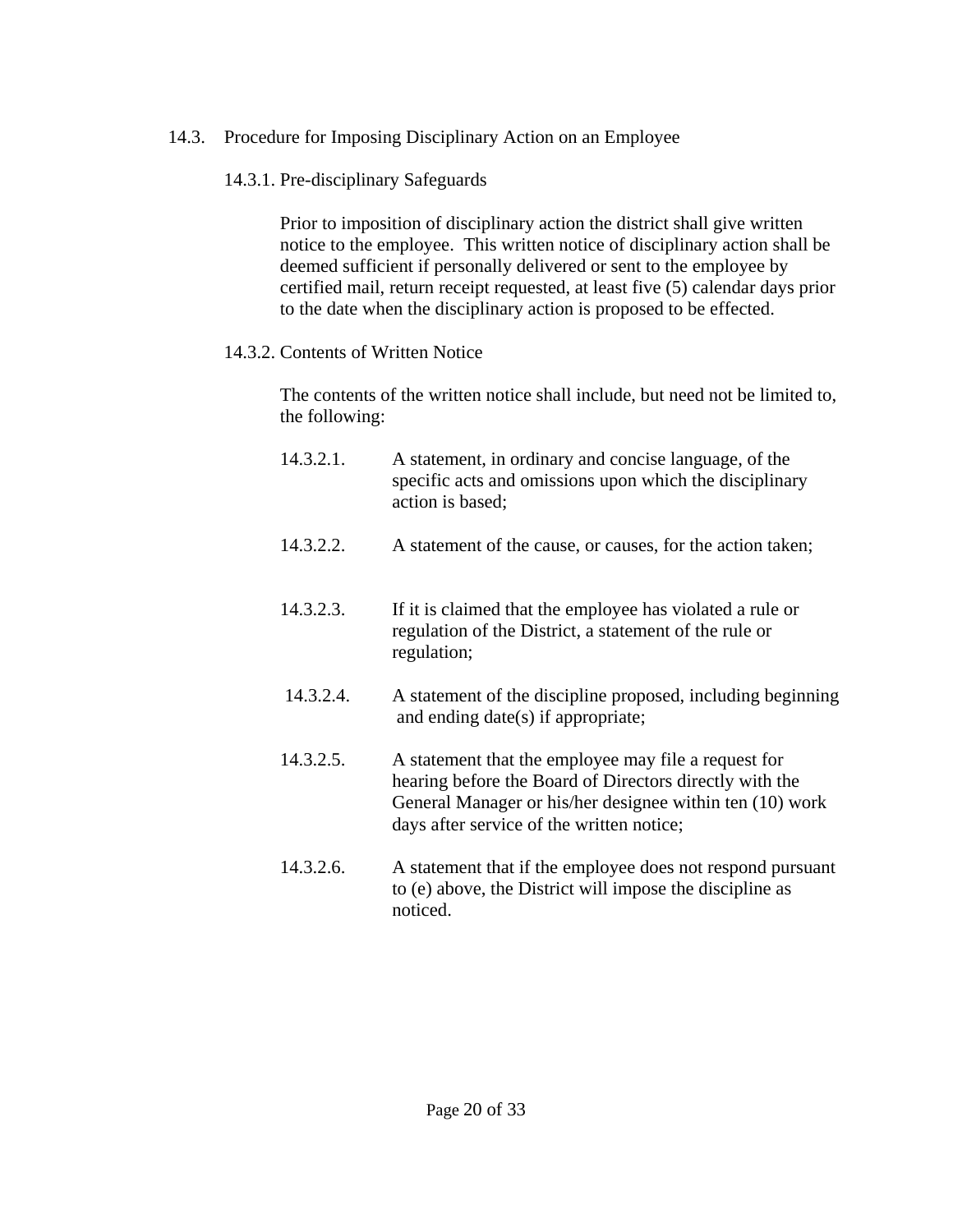# 14.3. Procedure for Imposing Disciplinary Action on an Employee

14.3.1. Pre-disciplinary Safeguards

 Prior to imposition of disciplinary action the district shall give written notice to the employee. This written notice of disciplinary action shall be deemed sufficient if personally delivered or sent to the employee by certified mail, return receipt requested, at least five (5) calendar days prior to the date when the disciplinary action is proposed to be effected.

# 14.3.2. Contents of Written Notice

 The contents of the written notice shall include, but need not be limited to, the following:

- 14.3.2.1. A statement, in ordinary and concise language, of the specific acts and omissions upon which the disciplinary action is based;
- 14.3.2.2. A statement of the cause, or causes, for the action taken;
- 14.3.2.3. If it is claimed that the employee has violated a rule or regulation of the District, a statement of the rule or regulation;
- 14.3.2.4. A statement of the discipline proposed, including beginning and ending date(s) if appropriate;
- 14.3.2.5. A statement that the employee may file a request for hearing before the Board of Directors directly with the General Manager or his/her designee within ten (10) work days after service of the written notice;
- 14.3.2.6. A statement that if the employee does not respond pursuant to (e) above, the District will impose the discipline as noticed.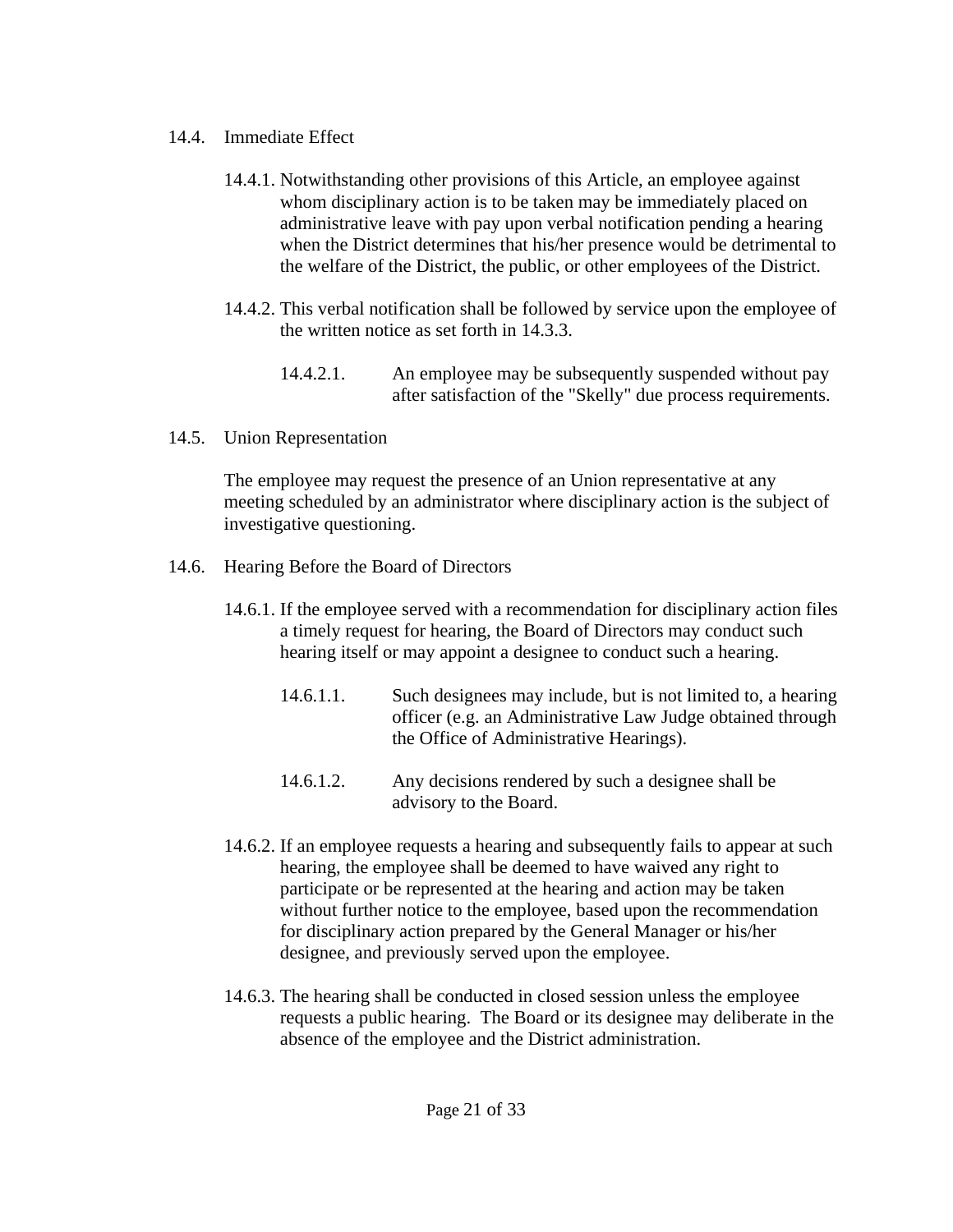- 14.4. Immediate Effect
	- 14.4.1. Notwithstanding other provisions of this Article, an employee against whom disciplinary action is to be taken may be immediately placed on administrative leave with pay upon verbal notification pending a hearing when the District determines that his/her presence would be detrimental to the welfare of the District, the public, or other employees of the District.
	- 14.4.2. This verbal notification shall be followed by service upon the employee of the written notice as set forth in 14.3.3.
		- 14.4.2.1. An employee may be subsequently suspended without pay after satisfaction of the "Skelly" due process requirements.
- 14.5. Union Representation

 The employee may request the presence of an Union representative at any meeting scheduled by an administrator where disciplinary action is the subject of investigative questioning.

- 14.6. Hearing Before the Board of Directors
	- 14.6.1. If the employee served with a recommendation for disciplinary action files a timely request for hearing, the Board of Directors may conduct such hearing itself or may appoint a designee to conduct such a hearing.
		- 14.6.1.1. Such designees may include, but is not limited to, a hearing officer (e.g. an Administrative Law Judge obtained through the Office of Administrative Hearings).
		- 14.6.1.2. Any decisions rendered by such a designee shall be advisory to the Board.
	- 14.6.2. If an employee requests a hearing and subsequently fails to appear at such hearing, the employee shall be deemed to have waived any right to participate or be represented at the hearing and action may be taken without further notice to the employee, based upon the recommendation for disciplinary action prepared by the General Manager or his/her designee, and previously served upon the employee.
	- 14.6.3. The hearing shall be conducted in closed session unless the employee requests a public hearing. The Board or its designee may deliberate in the absence of the employee and the District administration.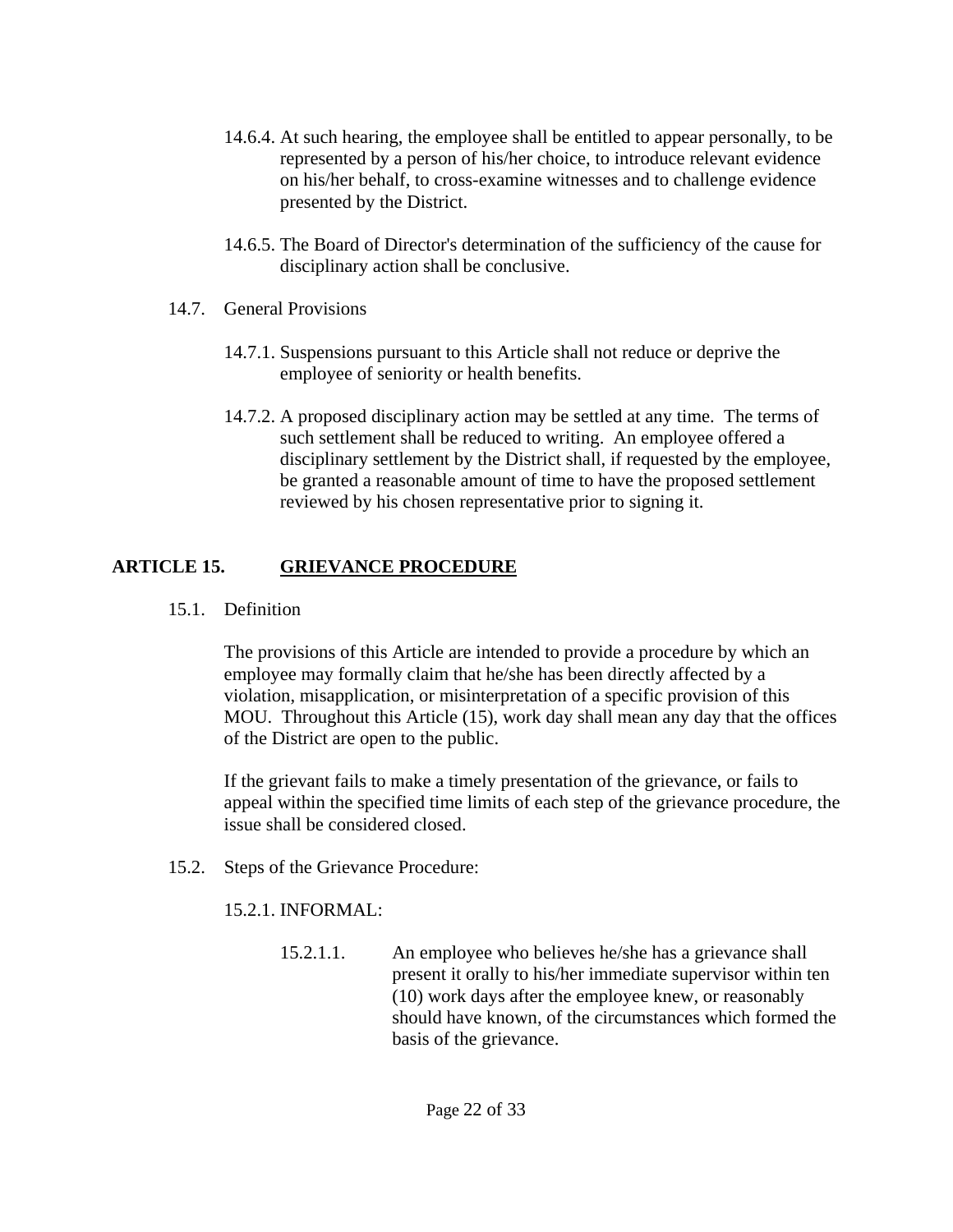- 14.6.4. At such hearing, the employee shall be entitled to appear personally, to be represented by a person of his/her choice, to introduce relevant evidence on his/her behalf, to cross-examine witnesses and to challenge evidence presented by the District.
- 14.6.5. The Board of Director's determination of the sufficiency of the cause for disciplinary action shall be conclusive.
- 14.7. General Provisions
	- 14.7.1. Suspensions pursuant to this Article shall not reduce or deprive the employee of seniority or health benefits.
	- 14.7.2. A proposed disciplinary action may be settled at any time. The terms of such settlement shall be reduced to writing. An employee offered a disciplinary settlement by the District shall, if requested by the employee, be granted a reasonable amount of time to have the proposed settlement reviewed by his chosen representative prior to signing it.

# **ARTICLE 15. GRIEVANCE PROCEDURE**

15.1. Definition

 The provisions of this Article are intended to provide a procedure by which an employee may formally claim that he/she has been directly affected by a violation, misapplication, or misinterpretation of a specific provision of this MOU. Throughout this Article (15), work day shall mean any day that the offices of the District are open to the public.

 If the grievant fails to make a timely presentation of the grievance, or fails to appeal within the specified time limits of each step of the grievance procedure, the issue shall be considered closed.

15.2. Steps of the Grievance Procedure:

15.2.1. INFORMAL:

 15.2.1.1. An employee who believes he/she has a grievance shall present it orally to his/her immediate supervisor within ten (10) work days after the employee knew, or reasonably should have known, of the circumstances which formed the basis of the grievance.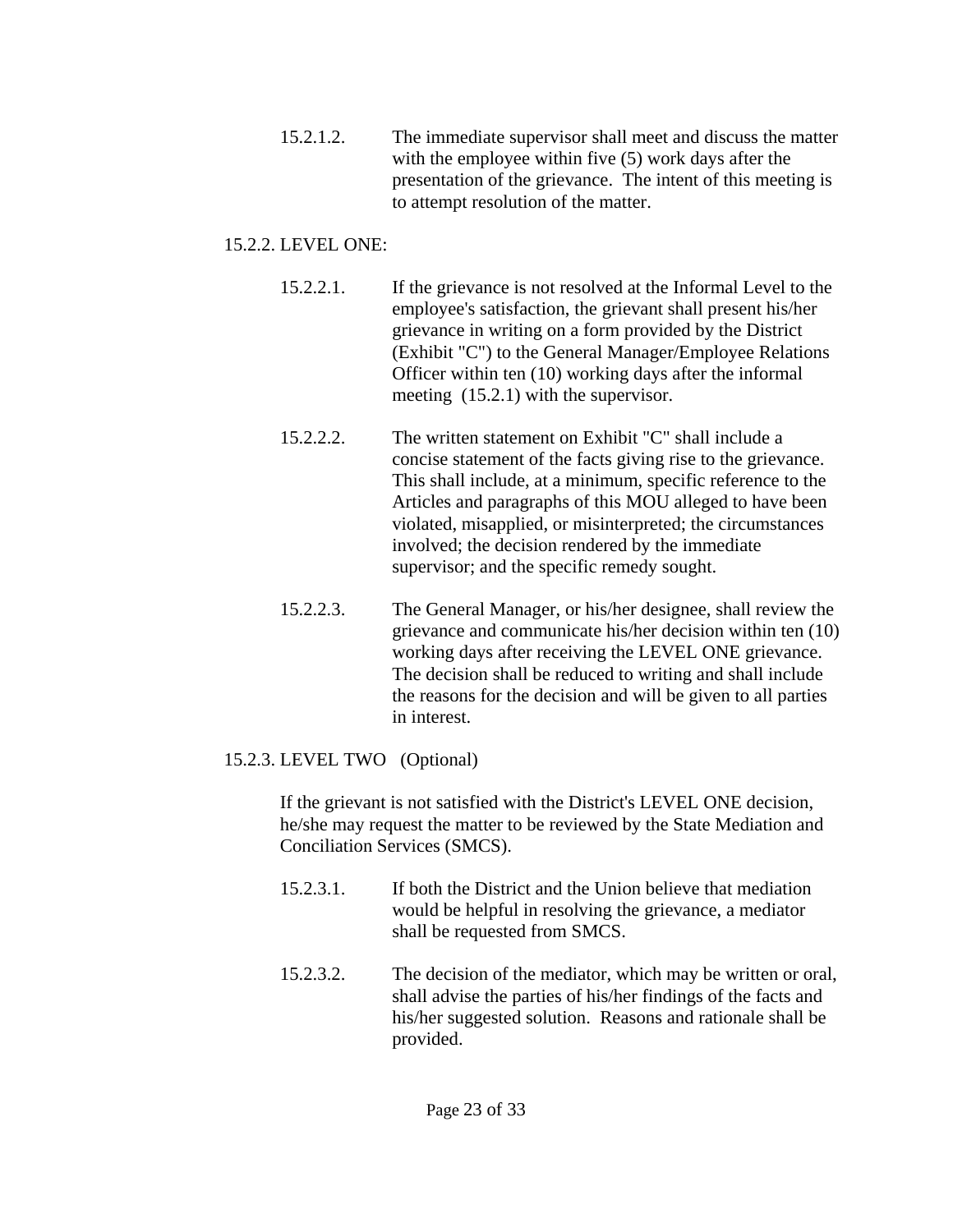15.2.1.2. The immediate supervisor shall meet and discuss the matter with the employee within five (5) work days after the presentation of the grievance. The intent of this meeting is to attempt resolution of the matter.

# 15.2.2. LEVEL ONE:

- 15.2.2.1. If the grievance is not resolved at the Informal Level to the employee's satisfaction, the grievant shall present his/her grievance in writing on a form provided by the District (Exhibit "C") to the General Manager/Employee Relations Officer within ten (10) working days after the informal meeting (15.2.1) with the supervisor.
- 15.2.2.2. The written statement on Exhibit "C" shall include a concise statement of the facts giving rise to the grievance. This shall include, at a minimum, specific reference to the Articles and paragraphs of this MOU alleged to have been violated, misapplied, or misinterpreted; the circumstances involved; the decision rendered by the immediate supervisor; and the specific remedy sought.
- 15.2.2.3. The General Manager, or his/her designee, shall review the grievance and communicate his/her decision within ten (10) working days after receiving the LEVEL ONE grievance. The decision shall be reduced to writing and shall include the reasons for the decision and will be given to all parties in interest.

# 15.2.3. LEVEL TWO (Optional)

 If the grievant is not satisfied with the District's LEVEL ONE decision, he/she may request the matter to be reviewed by the State Mediation and Conciliation Services (SMCS).

- 15.2.3.1. If both the District and the Union believe that mediation would be helpful in resolving the grievance, a mediator shall be requested from SMCS.
- 15.2.3.2. The decision of the mediator, which may be written or oral, shall advise the parties of his/her findings of the facts and his/her suggested solution. Reasons and rationale shall be provided.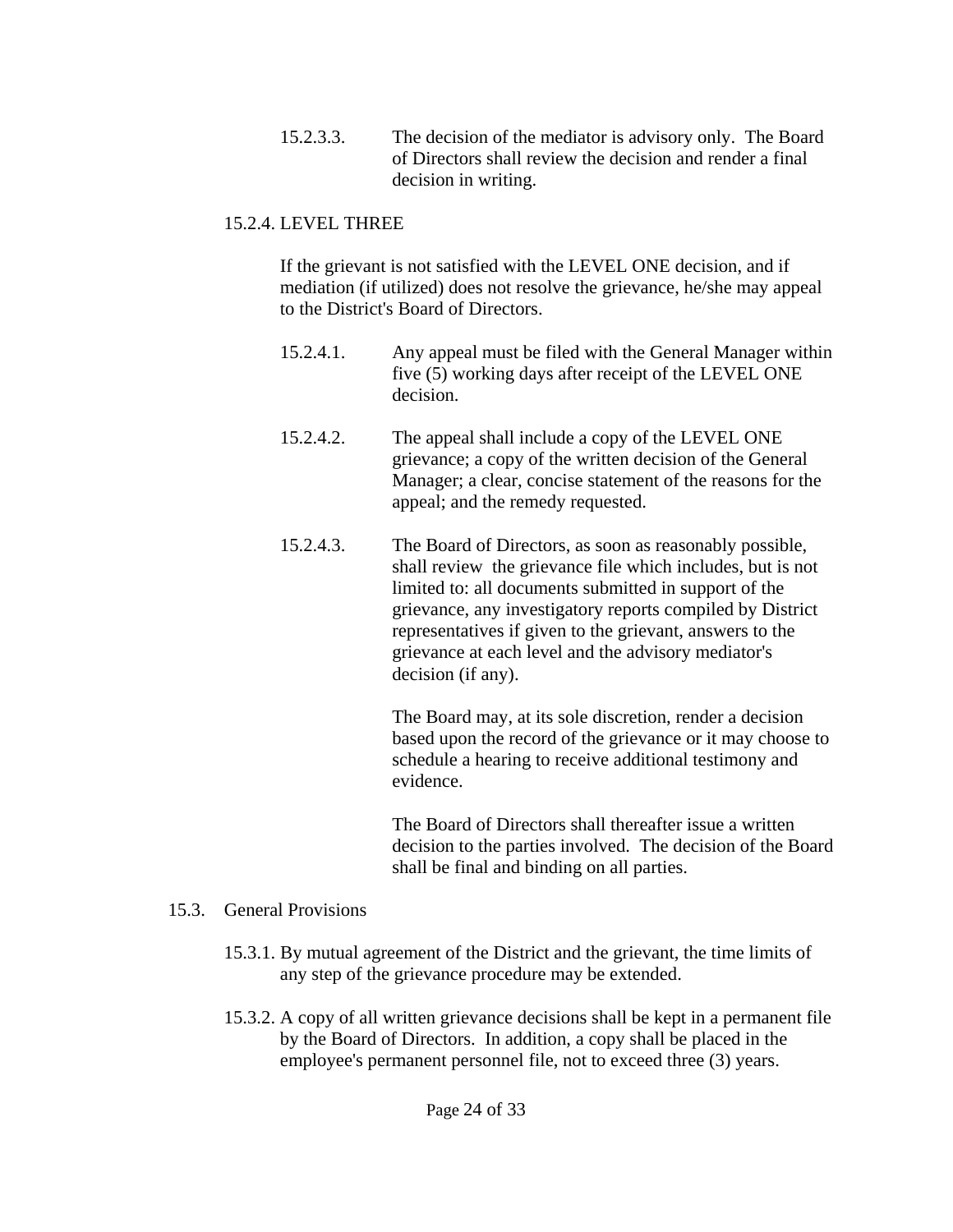15.2.3.3. The decision of the mediator is advisory only. The Board of Directors shall review the decision and render a final decision in writing.

# 15.2.4. LEVEL THREE

 If the grievant is not satisfied with the LEVEL ONE decision, and if mediation (if utilized) does not resolve the grievance, he/she may appeal to the District's Board of Directors.

- 15.2.4.1. Any appeal must be filed with the General Manager within five (5) working days after receipt of the LEVEL ONE decision.
- 15.2.4.2. The appeal shall include a copy of the LEVEL ONE grievance; a copy of the written decision of the General Manager; a clear, concise statement of the reasons for the appeal; and the remedy requested.
- 15.2.4.3. The Board of Directors, as soon as reasonably possible, shall review the grievance file which includes, but is not limited to: all documents submitted in support of the grievance, any investigatory reports compiled by District representatives if given to the grievant, answers to the grievance at each level and the advisory mediator's decision (if any).

 The Board may, at its sole discretion, render a decision based upon the record of the grievance or it may choose to schedule a hearing to receive additional testimony and evidence.

 The Board of Directors shall thereafter issue a written decision to the parties involved. The decision of the Board shall be final and binding on all parties.

#### 15.3. General Provisions

- 15.3.1. By mutual agreement of the District and the grievant, the time limits of any step of the grievance procedure may be extended.
- 15.3.2. A copy of all written grievance decisions shall be kept in a permanent file by the Board of Directors. In addition, a copy shall be placed in the employee's permanent personnel file, not to exceed three (3) years.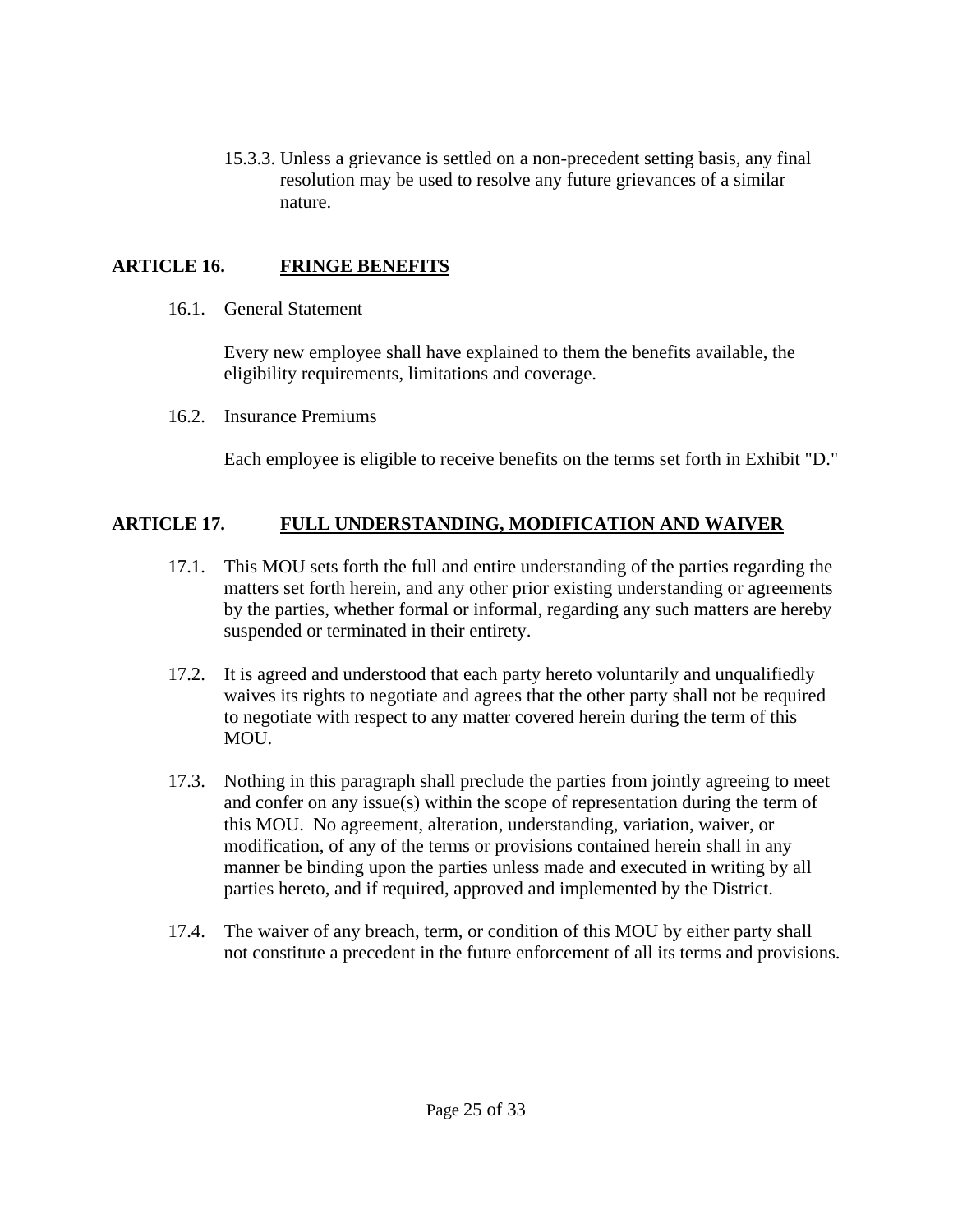15.3.3. Unless a grievance is settled on a non-precedent setting basis, any final resolution may be used to resolve any future grievances of a similar nature.

# **ARTICLE 16. FRINGE BENEFITS**

16.1. General Statement

 Every new employee shall have explained to them the benefits available, the eligibility requirements, limitations and coverage.

16.2. Insurance Premiums

Each employee is eligible to receive benefits on the terms set forth in Exhibit "D."

# **ARTICLE 17. FULL UNDERSTANDING, MODIFICATION AND WAIVER**

- 17.1. This MOU sets forth the full and entire understanding of the parties regarding the matters set forth herein, and any other prior existing understanding or agreements by the parties, whether formal or informal, regarding any such matters are hereby suspended or terminated in their entirety.
- 17.2. It is agreed and understood that each party hereto voluntarily and unqualifiedly waives its rights to negotiate and agrees that the other party shall not be required to negotiate with respect to any matter covered herein during the term of this MOU.
- 17.3. Nothing in this paragraph shall preclude the parties from jointly agreeing to meet and confer on any issue(s) within the scope of representation during the term of this MOU. No agreement, alteration, understanding, variation, waiver, or modification, of any of the terms or provisions contained herein shall in any manner be binding upon the parties unless made and executed in writing by all parties hereto, and if required, approved and implemented by the District.
- 17.4. The waiver of any breach, term, or condition of this MOU by either party shall not constitute a precedent in the future enforcement of all its terms and provisions.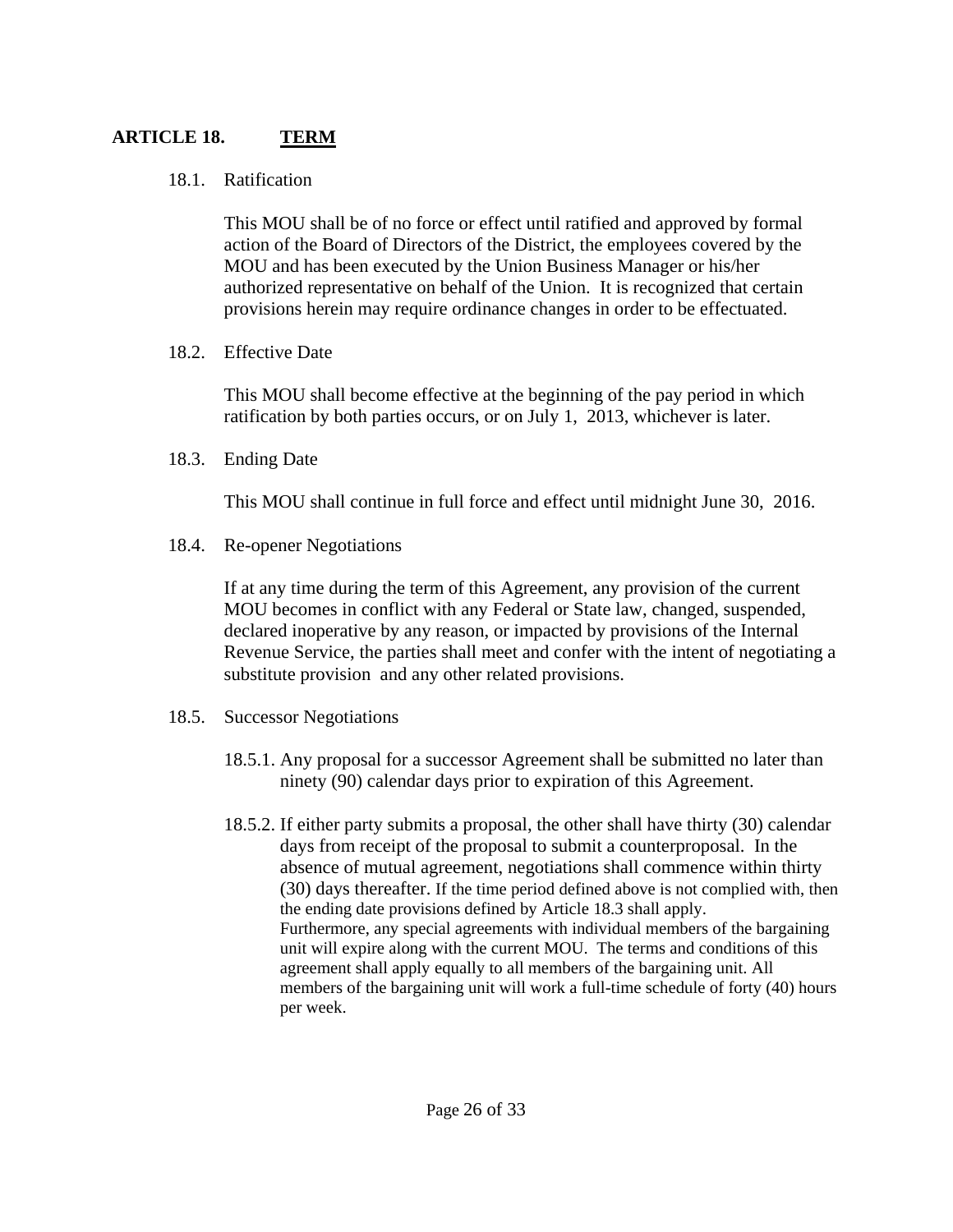# **ARTICLE 18. TERM**

### 18.1. Ratification

 This MOU shall be of no force or effect until ratified and approved by formal action of the Board of Directors of the District, the employees covered by the MOU and has been executed by the Union Business Manager or his/her authorized representative on behalf of the Union. It is recognized that certain provisions herein may require ordinance changes in order to be effectuated.

18.2. Effective Date

 This MOU shall become effective at the beginning of the pay period in which ratification by both parties occurs, or on July 1, 2013, whichever is later.

18.3. Ending Date

This MOU shall continue in full force and effect until midnight June 30, 2016.

18.4. Re-opener Negotiations

 If at any time during the term of this Agreement, any provision of the current MOU becomes in conflict with any Federal or State law, changed, suspended, declared inoperative by any reason, or impacted by provisions of the Internal Revenue Service, the parties shall meet and confer with the intent of negotiating a substitute provision and any other related provisions.

- 18.5. Successor Negotiations
	- 18.5.1. Any proposal for a successor Agreement shall be submitted no later than ninety (90) calendar days prior to expiration of this Agreement.
	- 18.5.2. If either party submits a proposal, the other shall have thirty (30) calendar days from receipt of the proposal to submit a counterproposal. In the absence of mutual agreement, negotiations shall commence within thirty (30) days thereafter. If the time period defined above is not complied with, then the ending date provisions defined by Article 18.3 shall apply. Furthermore, any special agreements with individual members of the bargaining unit will expire along with the current MOU. The terms and conditions of this agreement shall apply equally to all members of the bargaining unit. All members of the bargaining unit will work a full-time schedule of forty (40) hours per week.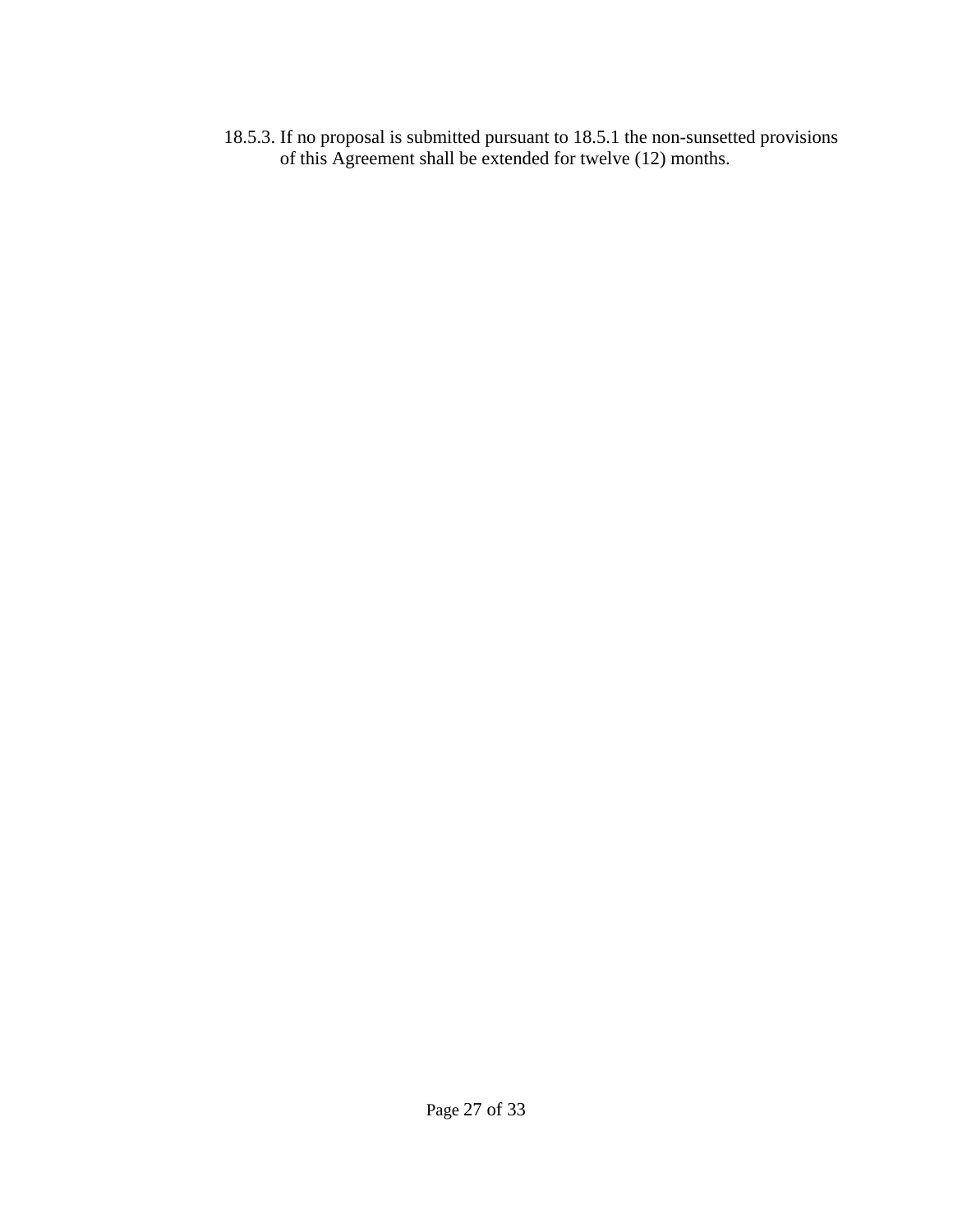18.5.3. If no proposal is submitted pursuant to 18.5.1 the non-sunsetted provisions of this Agreement shall be extended for twelve (12) months.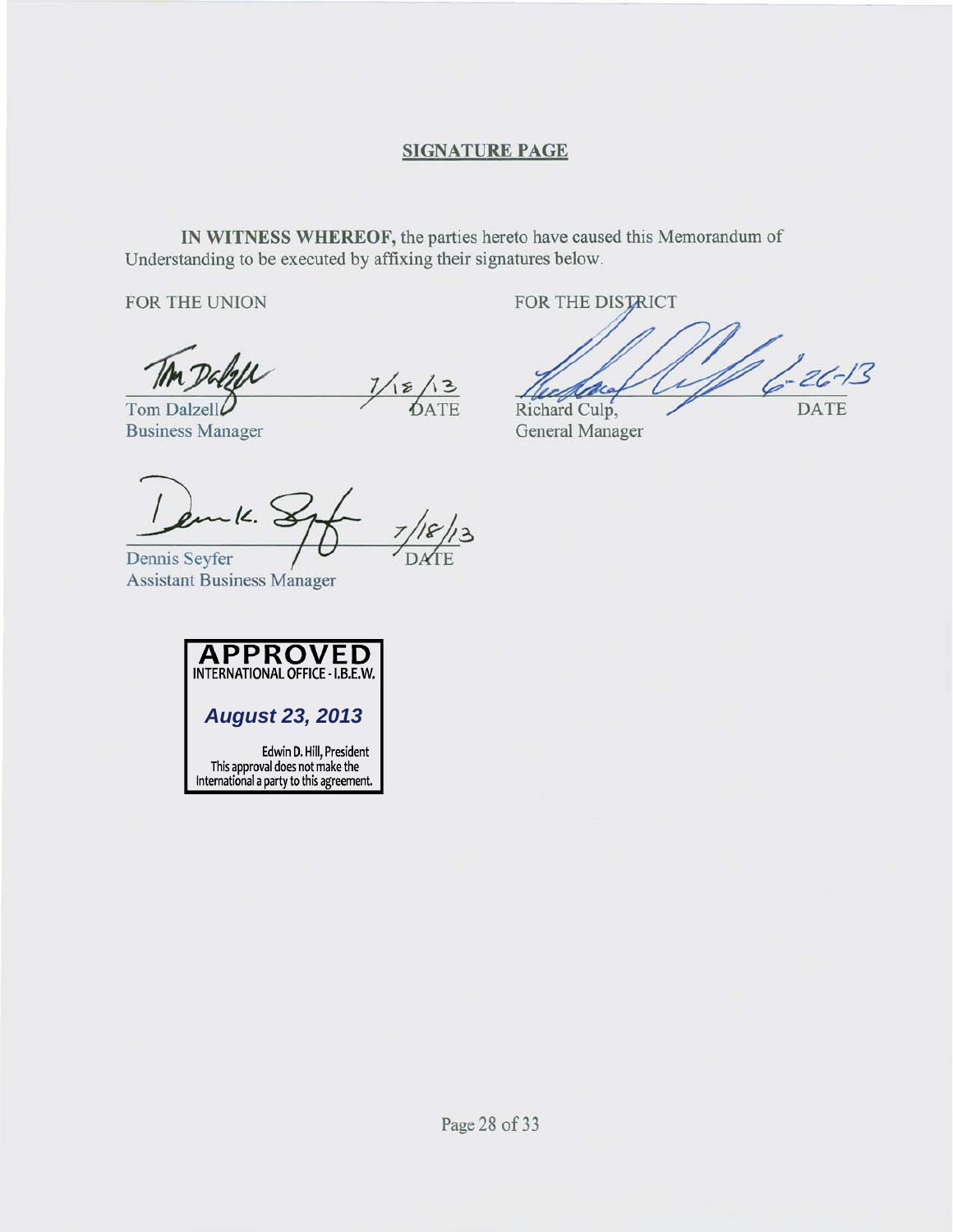#### **SIGNATURE PAGE**

IN WITNESS WHEREOF, the parties hereto have caused this Memorandum of Understanding to be executed by affixing their signatures below.

FOR THE UNION

 $\frac{7}{6}$ 

Tom Dalzell **Business Manager** 

Richard Culp, General Manager

FOR THE DISTRICT

 $6 - 26 - 13$ 

**DATE** 

 $-1$ 

Dennis Seyfer **Assistant Business Manager** 



Edwin D. Hill, President<br>This approval does not make the<br>International a party to this agreement.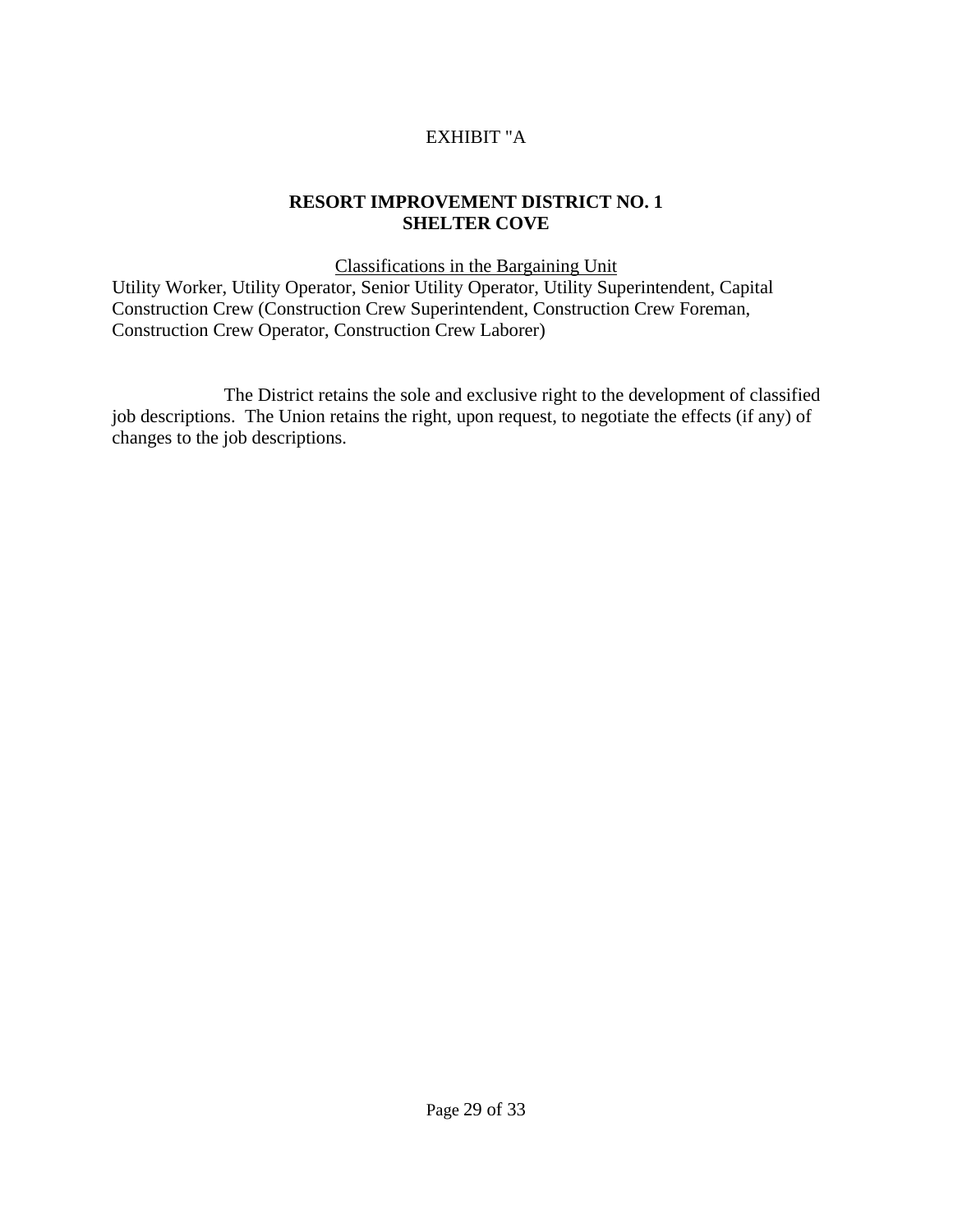# EXHIBIT "A

# **RESORT IMPROVEMENT DISTRICT NO. 1 SHELTER COVE**

Classifications in the Bargaining Unit

Utility Worker, Utility Operator, Senior Utility Operator, Utility Superintendent, Capital Construction Crew (Construction Crew Superintendent, Construction Crew Foreman, Construction Crew Operator, Construction Crew Laborer)

 The District retains the sole and exclusive right to the development of classified job descriptions. The Union retains the right, upon request, to negotiate the effects (if any) of changes to the job descriptions.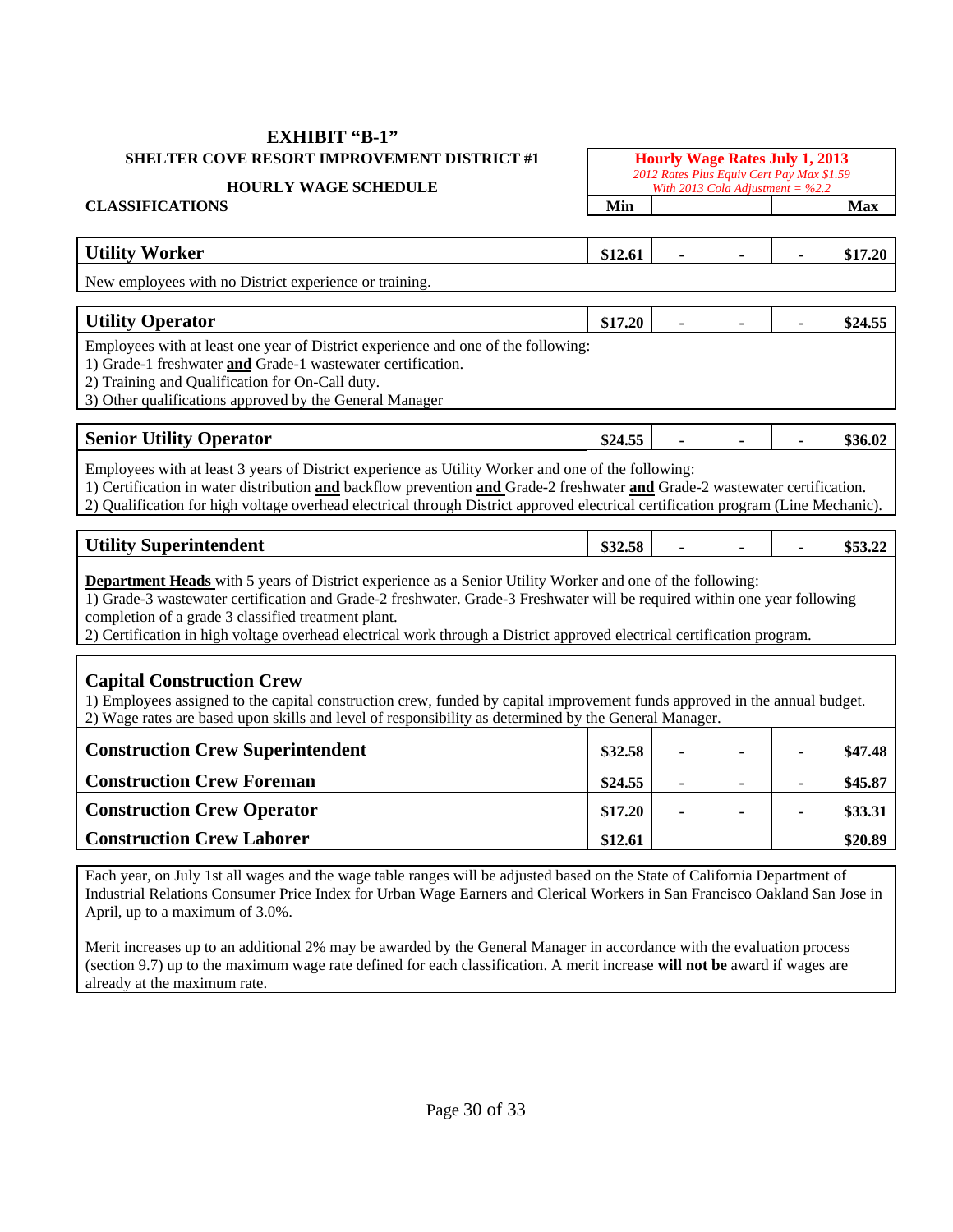#### **EXHIBIT "B-1" SHELTER COVE RESORT IMPROVEMENT DISTRICT #1** Hourly Wage Rates July 1, 2013

#### **HOURLY WAGE SCHEDULE**

*2012 Rates Plus Equiv Cert Pay Max \$1.59 With 2013 Cola Adjustment = %2.2*  **CLASSIFICATIONS** Min Max **Min** Min Max

| <b>Utility Worker</b>                                 | <b>512.01</b> |  | 0.1720<br>7.ZU |
|-------------------------------------------------------|---------------|--|----------------|
| New employees with no District experience or training |               |  |                |

New employees with no District experience or training.

# **Utility Operator**  $\begin{array}{|c|c|c|c|c|c|c|c|c|} \hline & $17.20 & - & - & - & 824.55 \ \hline \end{array}$

Employees with at least one year of District experience and one of the following:

1) Grade-1 freshwater **and** Grade-1 wastewater certification.

2) Training and Qualification for On-Call duty.

3) Other qualifications approved by the General Manager

| <b>Senior</b><br><b>Utility Operator</b> | $\sim$ $\sim$ $\sim$<br>ħΛ<br>$\Delta\omega$<br>ு.ு⊾ |  |  |
|------------------------------------------|------------------------------------------------------|--|--|

Employees with at least 3 years of District experience as Utility Worker and one of the following:

1) Certification in water distribution **and** backflow prevention **and** Grade-2 freshwater **and** Grade-2 wastewater certification.

2) Qualification for high voltage overhead electrical through District approved electrical certification program (Line Mechanic).

|  | <b>Utility Superintendent</b><br>0.22.58<br>DJ4.J0 |  |  |  | ሐг<br>433.44 |
|--|----------------------------------------------------|--|--|--|--------------|
|--|----------------------------------------------------|--|--|--|--------------|

**Department Heads** with 5 years of District experience as a Senior Utility Worker and one of the following:

1) Grade-3 wastewater certification and Grade-2 freshwater. Grade-3 Freshwater will be required within one year following completion of a grade 3 classified treatment plant.

2) Certification in high voltage overhead electrical work through a District approved electrical certification program.

#### **Capital Construction Crew**

1) Employees assigned to the capital construction crew, funded by capital improvement funds approved in the annual budget. 2) Wage rates are based upon skills and level of responsibility as determined by the General Manager.

| <b>Construction Crew Superintendent</b> | \$32.58 | ۰. | $\overline{\phantom{a}}$ | \$47.48 |
|-----------------------------------------|---------|----|--------------------------|---------|
| <b>Construction Crew Foreman</b>        | \$24.55 |    |                          | \$45.87 |
| <b>Construction Crew Operator</b>       | \$17.20 |    |                          | \$33.31 |
| <b>Construction Crew Laborer</b>        | \$12.61 |    |                          | \$20.89 |
|                                         |         |    |                          |         |

Each year, on July 1st all wages and the wage table ranges will be adjusted based on the State of California Department of Industrial Relations Consumer Price Index for Urban Wage Earners and Clerical Workers in San Francisco Oakland San Jose in April, up to a maximum of 3.0%.

Merit increases up to an additional 2% may be awarded by the General Manager in accordance with the evaluation process (section 9.7) up to the maximum wage rate defined for each classification. A merit increase **will not be** award if wages are already at the maximum rate.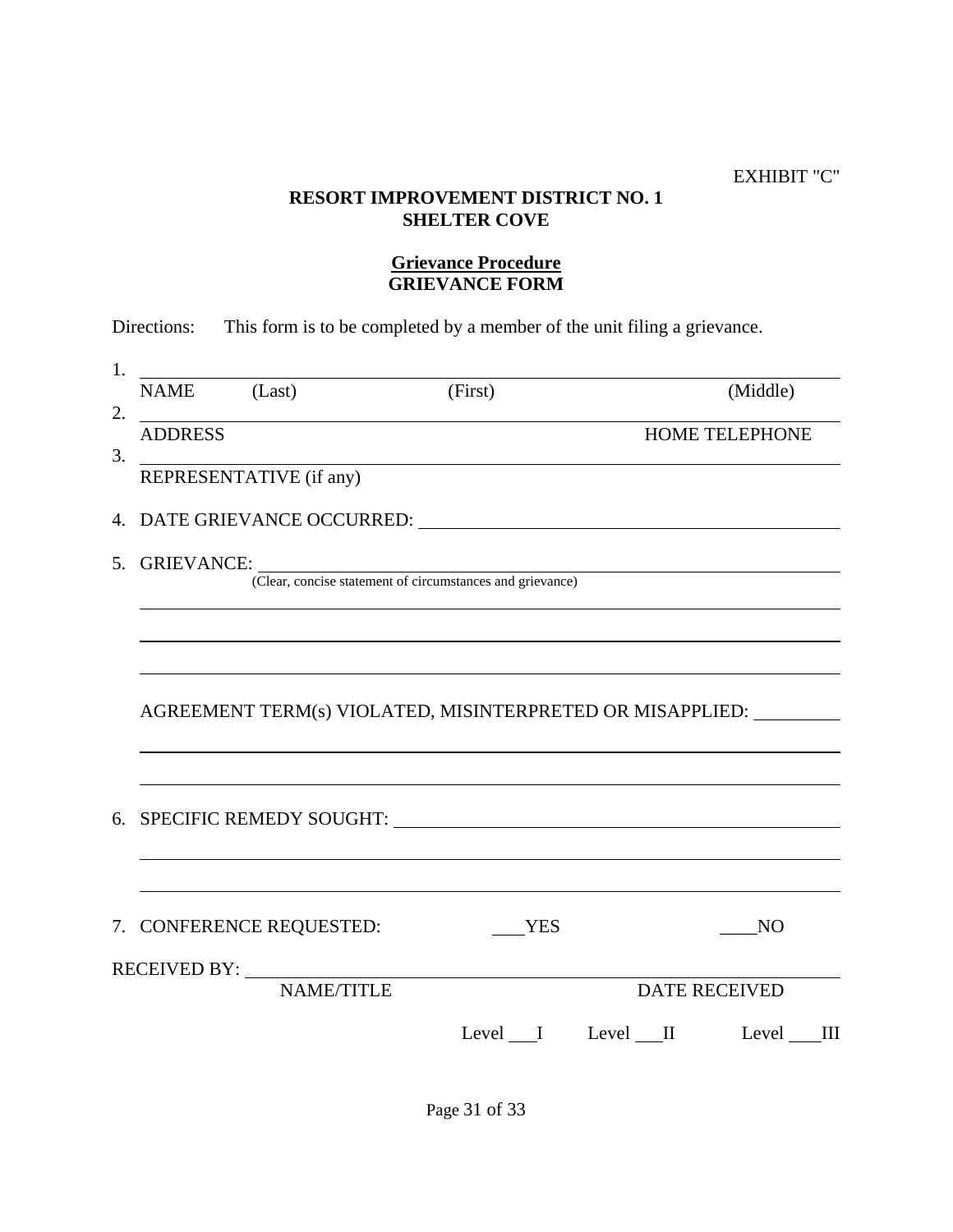#### EXHIBIT "C"

# **RESORT IMPROVEMENT DISTRICT NO. 1 SHELTER COVE**

# **Grievance Procedure GRIEVANCE FORM**

| <b>ADDRESS</b><br><u> 1980 - Johann Barn, fransk politik amerikansk politik (d. 1980)</u><br>REPRESENTATIVE (if any)<br><b>YES</b><br>N <sub>O</sub><br><b>NAME/TITLE</b><br><b>DATE RECEIVED</b> | NAME (Last) | (First) | (Middle)       |
|---------------------------------------------------------------------------------------------------------------------------------------------------------------------------------------------------|-------------|---------|----------------|
|                                                                                                                                                                                                   |             |         | HOME TELEPHONE |
|                                                                                                                                                                                                   |             |         |                |
| 5. GRIEVANCE: (Clear, concise statement of circumstances and grievance)                                                                                                                           |             |         |                |
| AGREEMENT TERM(s) VIOLATED, MISINTERPRETED OR MISAPPLIED:                                                                                                                                         |             |         |                |
| 6. SPECIFIC REMEDY SOUGHT:                                                                                                                                                                        |             |         |                |
|                                                                                                                                                                                                   |             |         |                |
|                                                                                                                                                                                                   |             |         |                |
|                                                                                                                                                                                                   |             |         |                |
|                                                                                                                                                                                                   |             |         |                |
|                                                                                                                                                                                                   |             |         |                |
| 7. CONFERENCE REQUESTED:<br>RECEIVED BY:                                                                                                                                                          |             |         |                |
|                                                                                                                                                                                                   |             |         |                |
|                                                                                                                                                                                                   |             |         |                |
|                                                                                                                                                                                                   |             |         |                |
|                                                                                                                                                                                                   |             |         |                |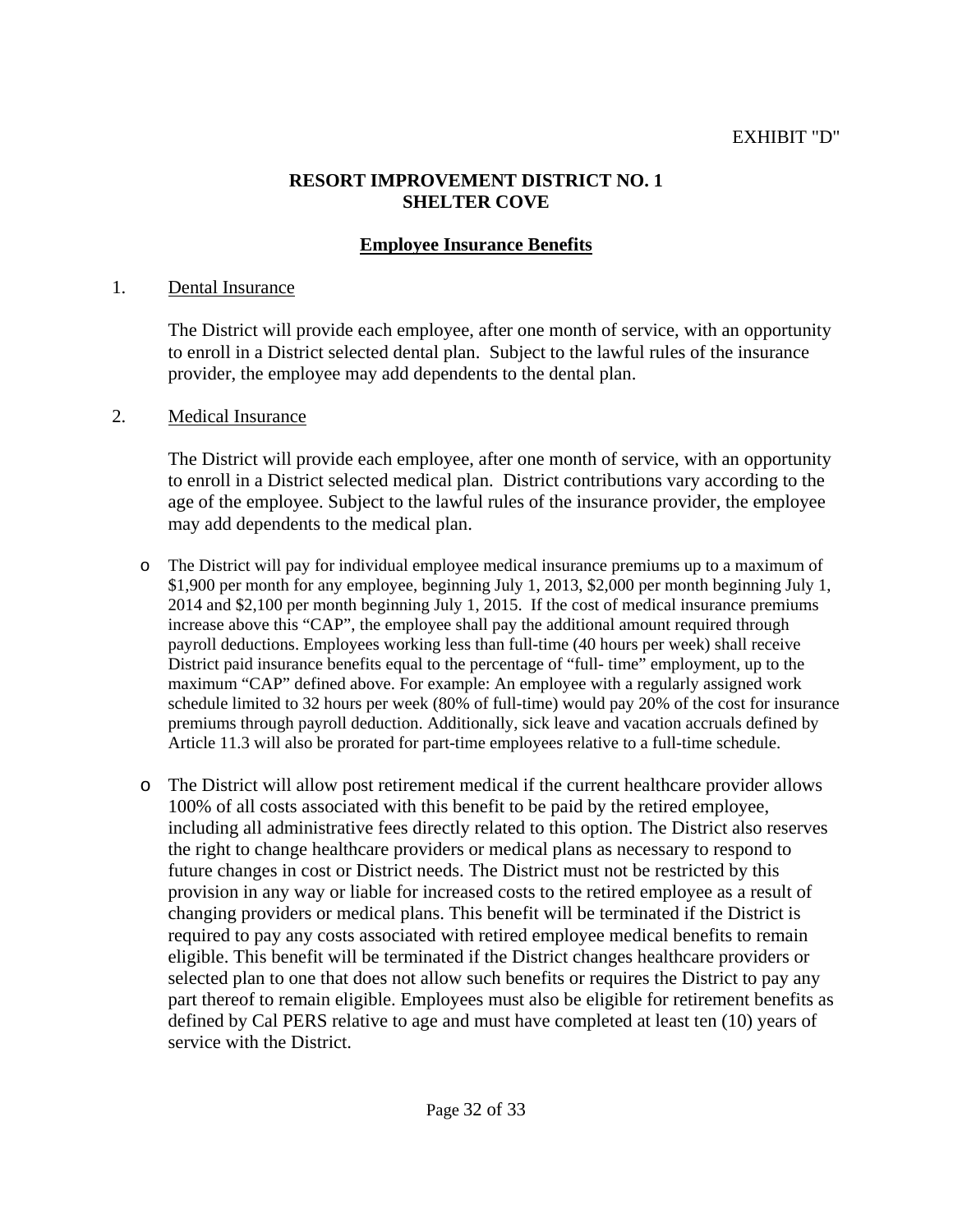#### EXHIBIT "D"

#### **RESORT IMPROVEMENT DISTRICT NO. 1 SHELTER COVE**

# **Employee Insurance Benefits**

#### 1. Dental Insurance

 The District will provide each employee, after one month of service, with an opportunity to enroll in a District selected dental plan. Subject to the lawful rules of the insurance provider, the employee may add dependents to the dental plan.

#### 2. Medical Insurance

 The District will provide each employee, after one month of service, with an opportunity to enroll in a District selected medical plan. District contributions vary according to the age of the employee. Subject to the lawful rules of the insurance provider, the employee may add dependents to the medical plan.

- o The District will pay for individual employee medical insurance premiums up to a maximum of \$1,900 per month for any employee, beginning July 1, 2013, \$2,000 per month beginning July 1, 2014 and \$2,100 per month beginning July 1, 2015. If the cost of medical insurance premiums increase above this "CAP", the employee shall pay the additional amount required through payroll deductions. Employees working less than full-time (40 hours per week) shall receive District paid insurance benefits equal to the percentage of "full- time" employment, up to the maximum "CAP" defined above. For example: An employee with a regularly assigned work schedule limited to 32 hours per week (80% of full-time) would pay 20% of the cost for insurance premiums through payroll deduction. Additionally, sick leave and vacation accruals defined by Article 11.3 will also be prorated for part-time employees relative to a full-time schedule.
- o The District will allow post retirement medical if the current healthcare provider allows 100% of all costs associated with this benefit to be paid by the retired employee, including all administrative fees directly related to this option. The District also reserves the right to change healthcare providers or medical plans as necessary to respond to future changes in cost or District needs. The District must not be restricted by this provision in any way or liable for increased costs to the retired employee as a result of changing providers or medical plans. This benefit will be terminated if the District is required to pay any costs associated with retired employee medical benefits to remain eligible. This benefit will be terminated if the District changes healthcare providers or selected plan to one that does not allow such benefits or requires the District to pay any part thereof to remain eligible. Employees must also be eligible for retirement benefits as defined by Cal PERS relative to age and must have completed at least ten (10) years of service with the District.